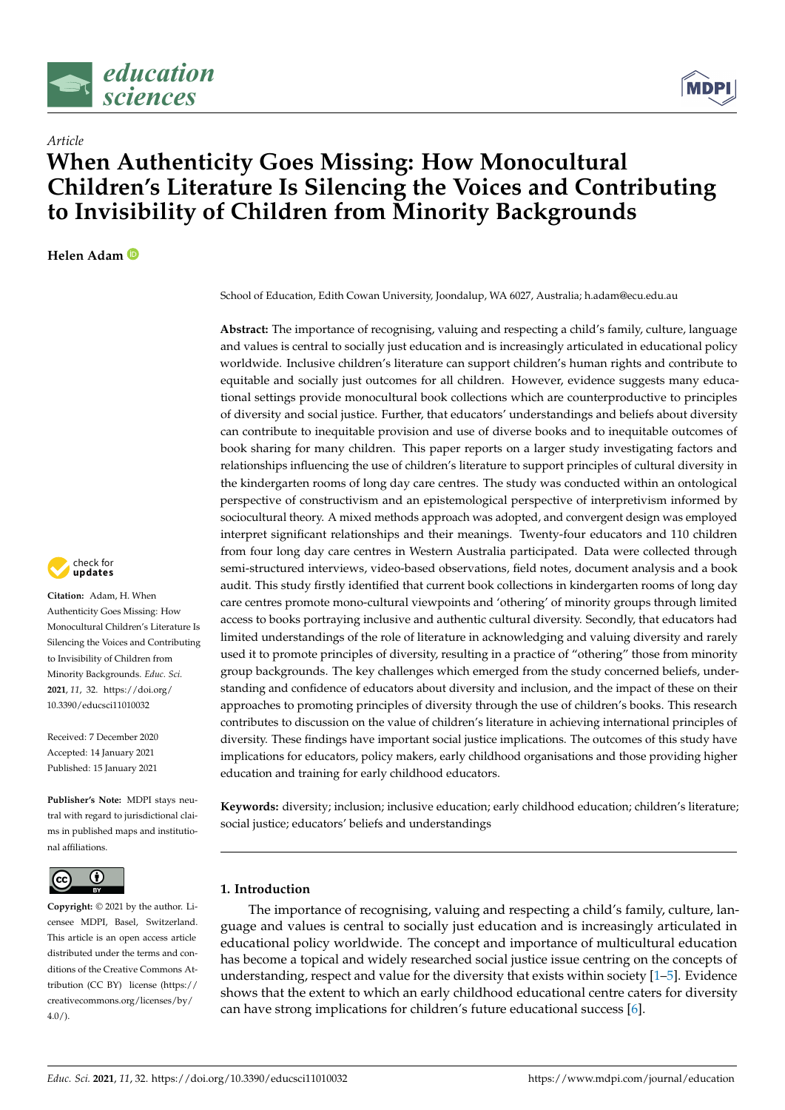



# **When Authenticity Goes Missing: How Monocultural Children's Literature Is Silencing the Voices and Contributing to Invisibility of Children from Minority Backgrounds**

**Helen Adam**

*Article*



**Citation:** Adam, H. When Authenticity Goes Missing: How Monocultural Children's Literature Is Silencing the Voices and Contributing to Invisibility of Children from Minority Backgrounds. *Educ. Sci.* **2021**, *11*, 32. [https://doi.org/](https://doi.org/10.3390/educsci11010032) [10.3390/educsci11010032](https://doi.org/10.3390/educsci11010032)

Received: 7 December 2020 Accepted: 14 January 2021 Published: 15 January 2021

**Publisher's Note:** MDPI stays neutral with regard to jurisdictional claims in published maps and institutional affiliations.



**Copyright:** © 2021 by the author. Licensee MDPI, Basel, Switzerland. This article is an open access article distributed under the terms and conditions of the Creative Commons Attribution (CC BY) license [\(https://](https://creativecommons.org/licenses/by/4.0/) [creativecommons.org/licenses/by/](https://creativecommons.org/licenses/by/4.0/) [4.0/\)](https://creativecommons.org/licenses/by/4.0/).

School of Education, Edith Cowan University, Joondalup, WA 6027, Australia; h.adam@ecu.edu.au

**Abstract:** The importance of recognising, valuing and respecting a child's family, culture, language and values is central to socially just education and is increasingly articulated in educational policy worldwide. Inclusive children's literature can support children's human rights and contribute to equitable and socially just outcomes for all children. However, evidence suggests many educational settings provide monocultural book collections which are counterproductive to principles of diversity and social justice. Further, that educators' understandings and beliefs about diversity can contribute to inequitable provision and use of diverse books and to inequitable outcomes of book sharing for many children. This paper reports on a larger study investigating factors and relationships influencing the use of children's literature to support principles of cultural diversity in the kindergarten rooms of long day care centres. The study was conducted within an ontological perspective of constructivism and an epistemological perspective of interpretivism informed by sociocultural theory. A mixed methods approach was adopted, and convergent design was employed interpret significant relationships and their meanings. Twenty-four educators and 110 children from four long day care centres in Western Australia participated. Data were collected through semi-structured interviews, video-based observations, field notes, document analysis and a book audit. This study firstly identified that current book collections in kindergarten rooms of long day care centres promote mono-cultural viewpoints and 'othering' of minority groups through limited access to books portraying inclusive and authentic cultural diversity. Secondly, that educators had limited understandings of the role of literature in acknowledging and valuing diversity and rarely used it to promote principles of diversity, resulting in a practice of "othering" those from minority group backgrounds. The key challenges which emerged from the study concerned beliefs, understanding and confidence of educators about diversity and inclusion, and the impact of these on their approaches to promoting principles of diversity through the use of children's books. This research contributes to discussion on the value of children's literature in achieving international principles of diversity. These findings have important social justice implications. The outcomes of this study have implications for educators, policy makers, early childhood organisations and those providing higher education and training for early childhood educators.

**Keywords:** diversity; inclusion; inclusive education; early childhood education; children's literature; social justice; educators' beliefs and understandings

## **1. Introduction**

The importance of recognising, valuing and respecting a child's family, culture, language and values is central to socially just education and is increasingly articulated in educational policy worldwide. The concept and importance of multicultural education has become a topical and widely researched social justice issue centring on the concepts of understanding, respect and value for the diversity that exists within society  $[1-5]$  $[1-5]$ . Evidence shows that the extent to which an early childhood educational centre caters for diversity can have strong implications for children's future educational success [\[6\]](#page-15-2).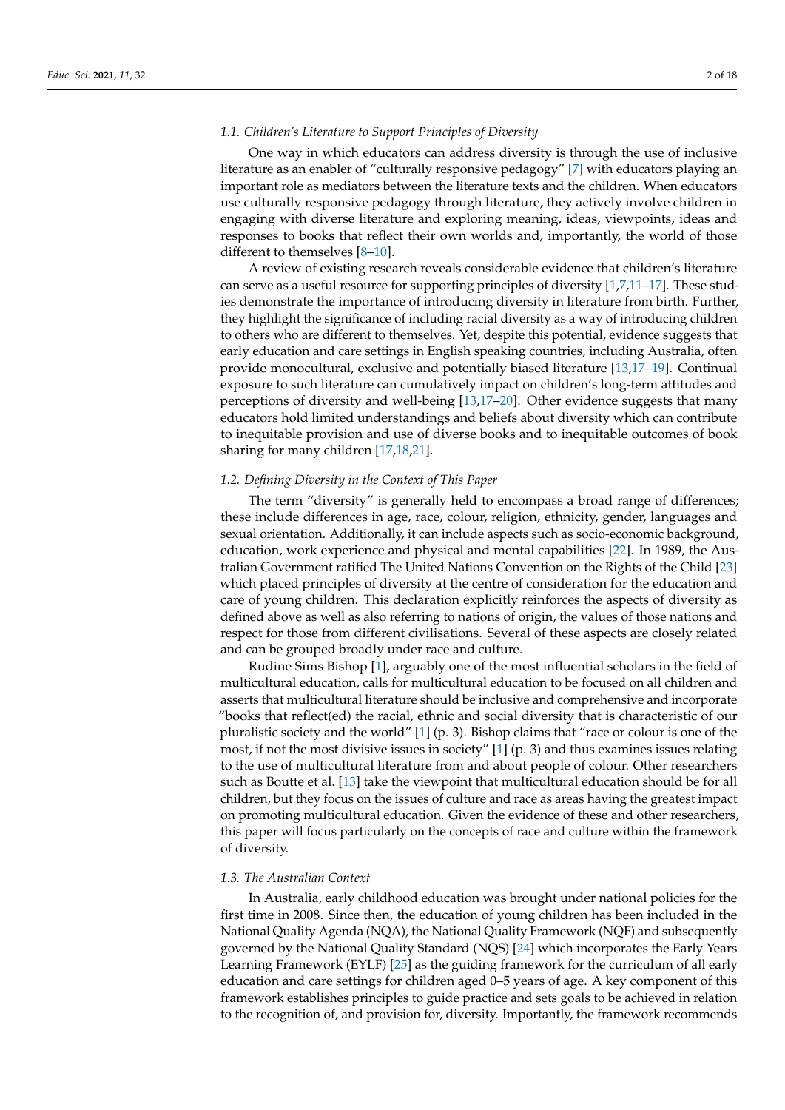#### *1.1. Children's Literature to Support Principles of Diversity*

One way in which educators can address diversity is through the use of inclusive literature as an enabler of "culturally responsive pedagogy" [\[7\]](#page-15-3) with educators playing an important role as mediators between the literature texts and the children. When educators use culturally responsive pedagogy through literature, they actively involve children in engaging with diverse literature and exploring meaning, ideas, viewpoints, ideas and responses to books that reflect their own worlds and, importantly, the world of those different to themselves [\[8–](#page-15-4)[10\]](#page-16-0).

A review of existing research reveals considerable evidence that children's literature can serve as a useful resource for supporting principles of diversity [\[1](#page-15-0)[,7](#page-15-3)[,11](#page-16-1)[–17\]](#page-16-2). These studies demonstrate the importance of introducing diversity in literature from birth. Further, they highlight the significance of including racial diversity as a way of introducing children to others who are different to themselves. Yet, despite this potential, evidence suggests that early education and care settings in English speaking countries, including Australia, often provide monocultural, exclusive and potentially biased literature [\[13](#page-16-3)[,17](#page-16-2)[–19\]](#page-16-4). Continual exposure to such literature can cumulatively impact on children's long-term attitudes and perceptions of diversity and well-being [\[13,](#page-16-3)[17](#page-16-2)[–20\]](#page-16-5). Other evidence suggests that many educators hold limited understandings and beliefs about diversity which can contribute to inequitable provision and use of diverse books and to inequitable outcomes of book sharing for many children [\[17](#page-16-2)[,18](#page-16-6)[,21\]](#page-16-7).

## *1.2. Defining Diversity in the Context of This Paper*

The term "diversity" is generally held to encompass a broad range of differences; these include differences in age, race, colour, religion, ethnicity, gender, languages and sexual orientation. Additionally, it can include aspects such as socio-economic background, education, work experience and physical and mental capabilities [\[22\]](#page-16-8). In 1989, the Australian Government ratified The United Nations Convention on the Rights of the Child [\[23\]](#page-16-9) which placed principles of diversity at the centre of consideration for the education and care of young children. This declaration explicitly reinforces the aspects of diversity as defined above as well as also referring to nations of origin, the values of those nations and respect for those from different civilisations. Several of these aspects are closely related and can be grouped broadly under race and culture.

Rudine Sims Bishop [\[1\]](#page-15-0), arguably one of the most influential scholars in the field of multicultural education, calls for multicultural education to be focused on all children and asserts that multicultural literature should be inclusive and comprehensive and incorporate "books that reflect(ed) the racial, ethnic and social diversity that is characteristic of our pluralistic society and the world"  $[1]$  (p. 3). Bishop claims that "race or colour is one of the most, if not the most divisive issues in society"  $[1]$  (p. 3) and thus examines issues relating to the use of multicultural literature from and about people of colour. Other researchers such as Boutte et al. [\[13\]](#page-16-3) take the viewpoint that multicultural education should be for all children, but they focus on the issues of culture and race as areas having the greatest impact on promoting multicultural education. Given the evidence of these and other researchers, this paper will focus particularly on the concepts of race and culture within the framework of diversity.

#### *1.3. The Australian Context*

In Australia, early childhood education was brought under national policies for the first time in 2008. Since then, the education of young children has been included in the National Quality Agenda (NQA), the National Quality Framework (NQF) and subsequently governed by the National Quality Standard (NQS) [\[24\]](#page-16-10) which incorporates the Early Years Learning Framework (EYLF) [\[25\]](#page-16-11) as the guiding framework for the curriculum of all early education and care settings for children aged 0–5 years of age. A key component of this framework establishes principles to guide practice and sets goals to be achieved in relation to the recognition of, and provision for, diversity. Importantly, the framework recommends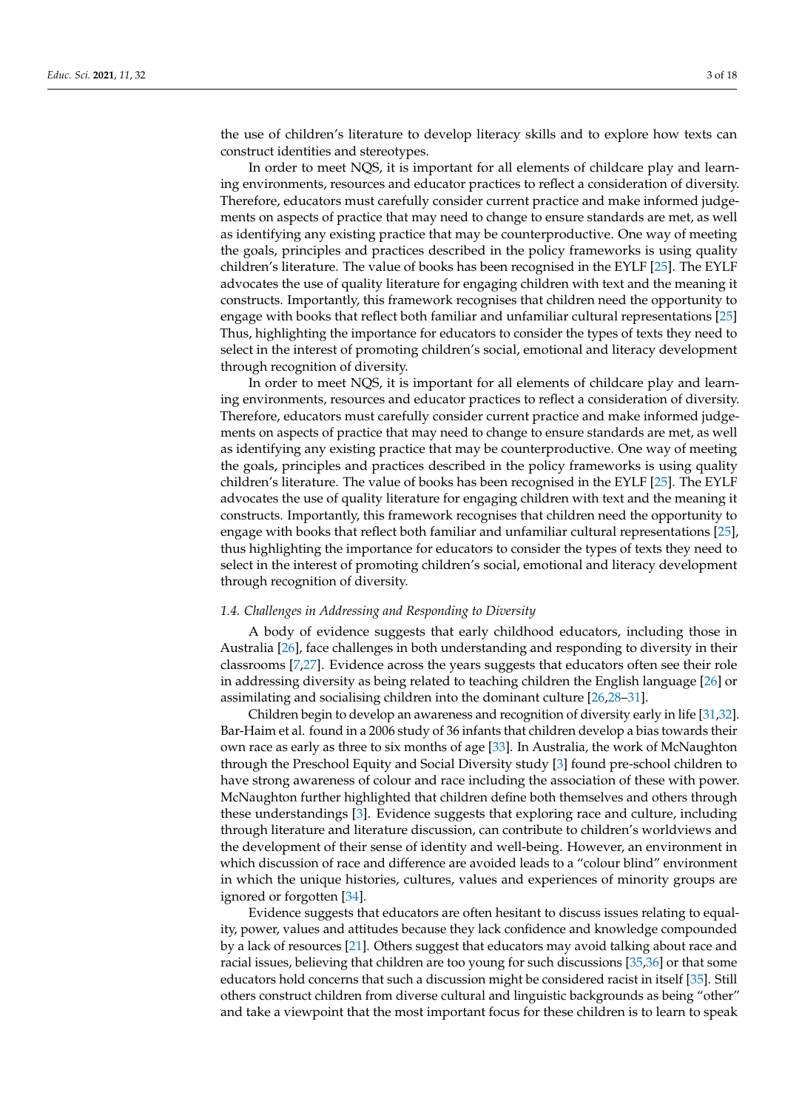the use of children's literature to develop literacy skills and to explore how texts can construct identities and stereotypes.

In order to meet NQS, it is important for all elements of childcare play and learning environments, resources and educator practices to reflect a consideration of diversity. Therefore, educators must carefully consider current practice and make informed judgements on aspects of practice that may need to change to ensure standards are met, as well as identifying any existing practice that may be counterproductive. One way of meeting the goals, principles and practices described in the policy frameworks is using quality children's literature. The value of books has been recognised in the EYLF [\[25\]](#page-16-11). The EYLF advocates the use of quality literature for engaging children with text and the meaning it constructs. Importantly, this framework recognises that children need the opportunity to engage with books that reflect both familiar and unfamiliar cultural representations [\[25\]](#page-16-11) Thus, highlighting the importance for educators to consider the types of texts they need to select in the interest of promoting children's social, emotional and literacy development through recognition of diversity.

In order to meet NQS, it is important for all elements of childcare play and learning environments, resources and educator practices to reflect a consideration of diversity. Therefore, educators must carefully consider current practice and make informed judgements on aspects of practice that may need to change to ensure standards are met, as well as identifying any existing practice that may be counterproductive. One way of meeting the goals, principles and practices described in the policy frameworks is using quality children's literature. The value of books has been recognised in the EYLF [\[25\]](#page-16-11). The EYLF advocates the use of quality literature for engaging children with text and the meaning it constructs. Importantly, this framework recognises that children need the opportunity to engage with books that reflect both familiar and unfamiliar cultural representations [\[25\]](#page-16-11), thus highlighting the importance for educators to consider the types of texts they need to select in the interest of promoting children's social, emotional and literacy development through recognition of diversity.

#### *1.4. Challenges in Addressing and Responding to Diversity*

A body of evidence suggests that early childhood educators, including those in Australia [\[26\]](#page-16-12), face challenges in both understanding and responding to diversity in their classrooms [\[7,](#page-15-3)[27\]](#page-16-13). Evidence across the years suggests that educators often see their role in addressing diversity as being related to teaching children the English language [\[26\]](#page-16-12) or assimilating and socialising children into the dominant culture [\[26,](#page-16-12)[28](#page-16-14)[–31\]](#page-16-15).

Children begin to develop an awareness and recognition of diversity early in life [\[31,](#page-16-15)[32\]](#page-16-16). Bar-Haim et al. found in a 2006 study of 36 infants that children develop a bias towards their own race as early as three to six months of age [\[33\]](#page-16-17). In Australia, the work of McNaughton through the Preschool Equity and Social Diversity study [\[3\]](#page-15-5) found pre-school children to have strong awareness of colour and race including the association of these with power. McNaughton further highlighted that children define both themselves and others through these understandings [\[3\]](#page-15-5). Evidence suggests that exploring race and culture, including through literature and literature discussion, can contribute to children's worldviews and the development of their sense of identity and well-being. However, an environment in which discussion of race and difference are avoided leads to a "colour blind" environment in which the unique histories, cultures, values and experiences of minority groups are ignored or forgotten [\[34\]](#page-16-18).

Evidence suggests that educators are often hesitant to discuss issues relating to equality, power, values and attitudes because they lack confidence and knowledge compounded by a lack of resources [\[21\]](#page-16-7). Others suggest that educators may avoid talking about race and racial issues, believing that children are too young for such discussions [\[35,](#page-16-19)[36\]](#page-16-20) or that some educators hold concerns that such a discussion might be considered racist in itself [\[35\]](#page-16-19). Still others construct children from diverse cultural and linguistic backgrounds as being "other" and take a viewpoint that the most important focus for these children is to learn to speak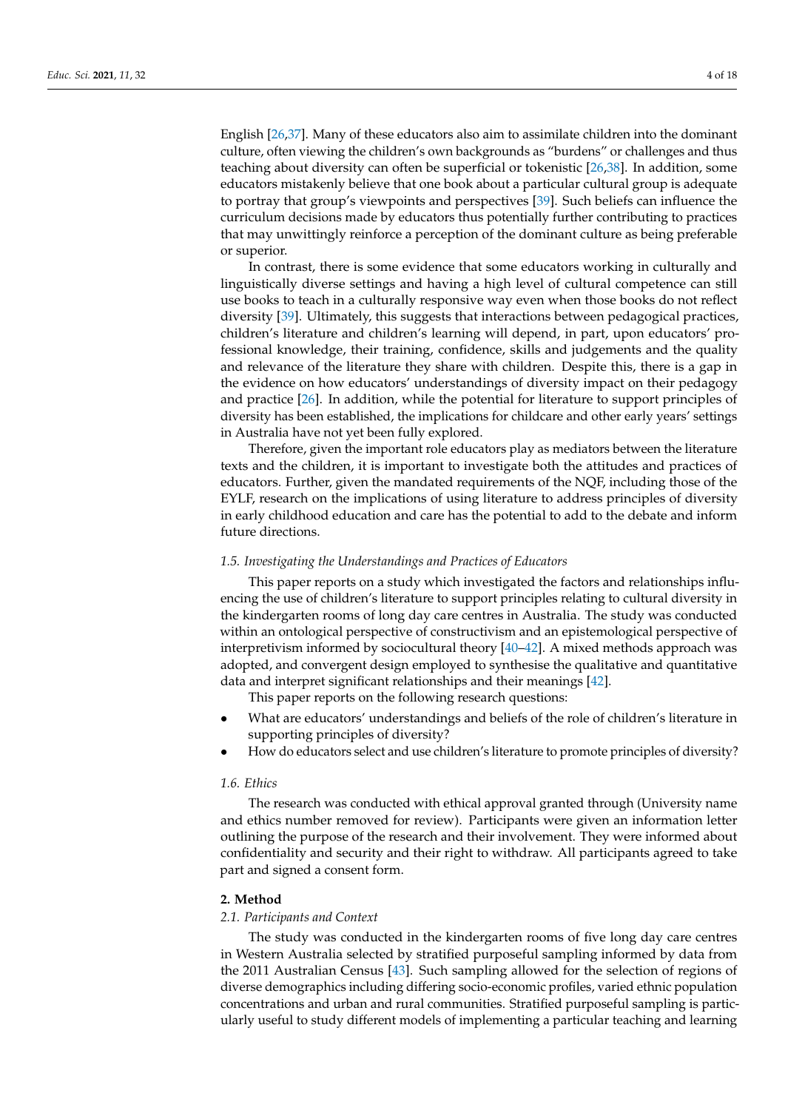English [\[26](#page-16-12)[,37\]](#page-16-21). Many of these educators also aim to assimilate children into the dominant culture, often viewing the children's own backgrounds as "burdens" or challenges and thus teaching about diversity can often be superficial or tokenistic [\[26](#page-16-12)[,38\]](#page-17-0). In addition, some educators mistakenly believe that one book about a particular cultural group is adequate to portray that group's viewpoints and perspectives [\[39\]](#page-17-1). Such beliefs can influence the curriculum decisions made by educators thus potentially further contributing to practices that may unwittingly reinforce a perception of the dominant culture as being preferable or superior.

In contrast, there is some evidence that some educators working in culturally and linguistically diverse settings and having a high level of cultural competence can still use books to teach in a culturally responsive way even when those books do not reflect diversity [\[39\]](#page-17-1). Ultimately, this suggests that interactions between pedagogical practices, children's literature and children's learning will depend, in part, upon educators' professional knowledge, their training, confidence, skills and judgements and the quality and relevance of the literature they share with children. Despite this, there is a gap in the evidence on how educators' understandings of diversity impact on their pedagogy and practice [\[26\]](#page-16-12). In addition, while the potential for literature to support principles of diversity has been established, the implications for childcare and other early years' settings in Australia have not yet been fully explored.

Therefore, given the important role educators play as mediators between the literature texts and the children, it is important to investigate both the attitudes and practices of educators. Further, given the mandated requirements of the NQF, including those of the EYLF, research on the implications of using literature to address principles of diversity in early childhood education and care has the potential to add to the debate and inform future directions.

#### *1.5. Investigating the Understandings and Practices of Educators*

This paper reports on a study which investigated the factors and relationships influencing the use of children's literature to support principles relating to cultural diversity in the kindergarten rooms of long day care centres in Australia. The study was conducted within an ontological perspective of constructivism and an epistemological perspective of interpretivism informed by sociocultural theory [\[40](#page-17-2)[–42\]](#page-17-3). A mixed methods approach was adopted, and convergent design employed to synthesise the qualitative and quantitative data and interpret significant relationships and their meanings [\[42\]](#page-17-3).

This paper reports on the following research questions:

- What are educators' understandings and beliefs of the role of children's literature in supporting principles of diversity?
- How do educators select and use children's literature to promote principles of diversity?

## *1.6. Ethics*

The research was conducted with ethical approval granted through (University name and ethics number removed for review). Participants were given an information letter outlining the purpose of the research and their involvement. They were informed about confidentiality and security and their right to withdraw. All participants agreed to take part and signed a consent form.

## **2. Method**

#### *2.1. Participants and Context*

The study was conducted in the kindergarten rooms of five long day care centres in Western Australia selected by stratified purposeful sampling informed by data from the 2011 Australian Census [\[43\]](#page-17-4). Such sampling allowed for the selection of regions of diverse demographics including differing socio-economic profiles, varied ethnic population concentrations and urban and rural communities. Stratified purposeful sampling is particularly useful to study different models of implementing a particular teaching and learning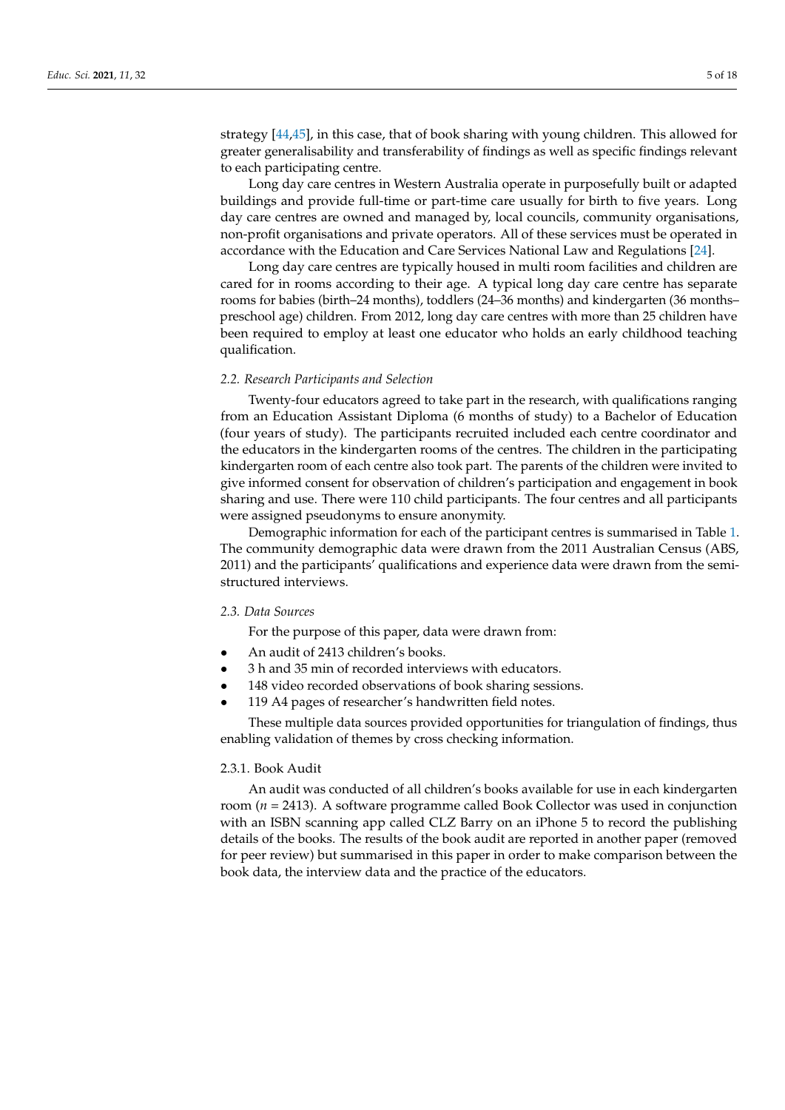strategy [\[44](#page-17-5)[,45\]](#page-17-6), in this case, that of book sharing with young children. This allowed for greater generalisability and transferability of findings as well as specific findings relevant to each participating centre.

Long day care centres in Western Australia operate in purposefully built or adapted buildings and provide full-time or part-time care usually for birth to five years. Long day care centres are owned and managed by, local councils, community organisations, non-profit organisations and private operators. All of these services must be operated in accordance with the Education and Care Services National Law and Regulations [\[24\]](#page-16-10).

Long day care centres are typically housed in multi room facilities and children are cared for in rooms according to their age. A typical long day care centre has separate rooms for babies (birth–24 months), toddlers (24–36 months) and kindergarten (36 months– preschool age) children. From 2012, long day care centres with more than 25 children have been required to employ at least one educator who holds an early childhood teaching qualification.

#### *2.2. Research Participants and Selection*

Twenty-four educators agreed to take part in the research, with qualifications ranging from an Education Assistant Diploma (6 months of study) to a Bachelor of Education (four years of study). The participants recruited included each centre coordinator and the educators in the kindergarten rooms of the centres. The children in the participating kindergarten room of each centre also took part. The parents of the children were invited to give informed consent for observation of children's participation and engagement in book sharing and use. There were 110 child participants. The four centres and all participants were assigned pseudonyms to ensure anonymity.

Demographic information for each of the participant centres is summarised in Table [1.](#page-5-0) The community demographic data were drawn from the 2011 Australian Census (ABS, 2011) and the participants' qualifications and experience data were drawn from the semistructured interviews.

## *2.3. Data Sources*

For the purpose of this paper, data were drawn from:

- An audit of 2413 children's books.
- 3 h and 35 min of recorded interviews with educators.
- 148 video recorded observations of book sharing sessions.
- 119 A4 pages of researcher's handwritten field notes.

These multiple data sources provided opportunities for triangulation of findings, thus enabling validation of themes by cross checking information.

## 2.3.1. Book Audit

An audit was conducted of all children's books available for use in each kindergarten room (*n* = 2413). A software programme called Book Collector was used in conjunction with an ISBN scanning app called CLZ Barry on an iPhone 5 to record the publishing details of the books. The results of the book audit are reported in another paper (removed for peer review) but summarised in this paper in order to make comparison between the book data, the interview data and the practice of the educators.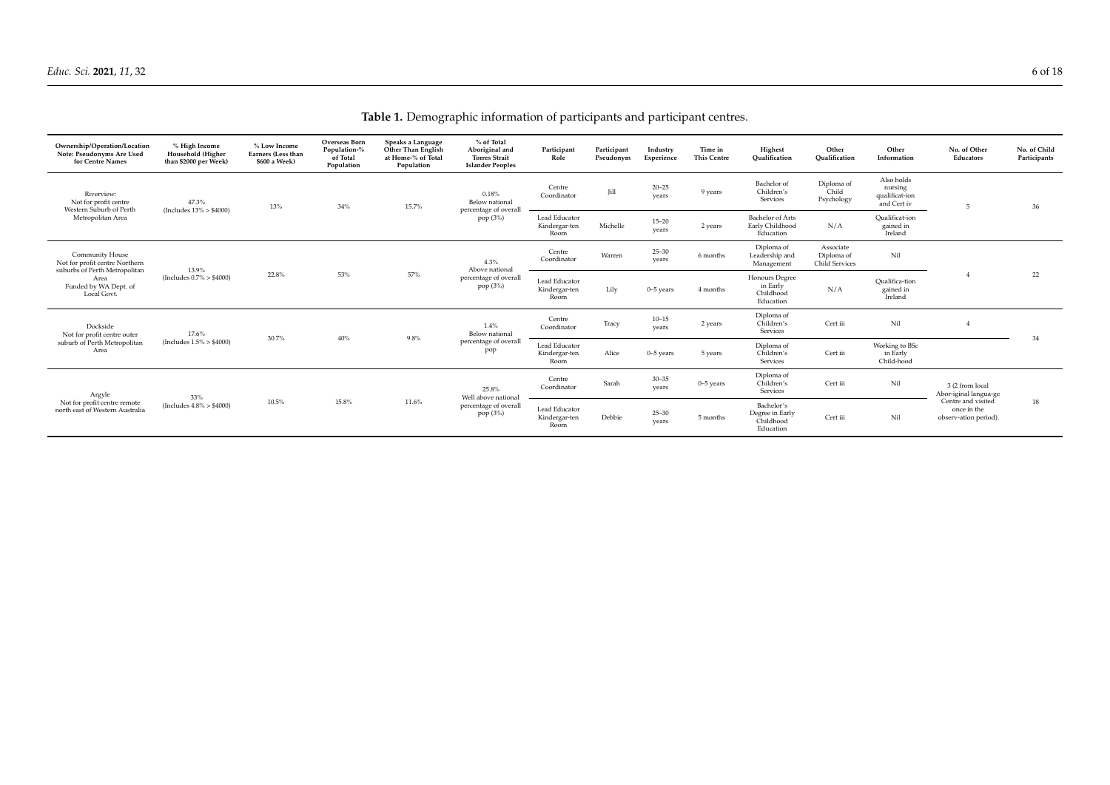## **Table 1.** Demographic information of participants and participant centres.

<span id="page-5-0"></span>

| Ownership/Operation/Location<br>Note: Pseudonyms Are Used<br>for Centre Names                                                             | % High Income<br>Household (Higher<br>than \$2000 per Week) | % Low Income<br>Earners (Less than<br>\$600 a Week) | Overseas Born<br>Population-%<br>of Total<br>Population | Speaks a Language<br>Other Than English<br>at Home-% of Total<br>Population | % of Total<br>Aboriginal and<br><b>Torres Strait</b><br><b>Islander Peoples</b> | Participant<br>Role                    | Participant<br>Pseudonym | Industry<br>Experience | Time in<br><b>This Centre</b> | Highest<br>Oualification                                | Other<br>Oualification                    | Other<br>Information                                   | No. of Other<br>Educators                                                                              | No. of Child<br>Participants |
|-------------------------------------------------------------------------------------------------------------------------------------------|-------------------------------------------------------------|-----------------------------------------------------|---------------------------------------------------------|-----------------------------------------------------------------------------|---------------------------------------------------------------------------------|----------------------------------------|--------------------------|------------------------|-------------------------------|---------------------------------------------------------|-------------------------------------------|--------------------------------------------------------|--------------------------------------------------------------------------------------------------------|------------------------------|
| Riverview:<br>Not for profit centre<br>Western Suburb of Perth<br>Metropolitan Area                                                       | 47.3%<br>(Includes $13\% > $4000$ )                         | 13%                                                 | 34%                                                     | 15.7%                                                                       | 0.18%<br>Below national<br>percentage of overall<br>pop (3%)                    | Centre<br>Coordinator                  | Jill                     | $20 - 25$<br>vears     | 9 years                       | Bachelor of<br>Children's<br>Services                   | Diploma of<br>Child<br>Psychology         | Also holds<br>nursing<br>qualificat-ion<br>and Cert iv | $\overline{5}$                                                                                         | 36                           |
|                                                                                                                                           |                                                             |                                                     |                                                         |                                                                             |                                                                                 | Lead Educator<br>Kindergar-ten<br>Room | Michelle                 | $15 - 20$<br>vears     | 2 years                       | Bachelor of Arts<br>Early Childhood<br>Education        | N/A                                       | Oualificat-ion<br>gained in<br>Ireland                 |                                                                                                        |                              |
| <b>Community House</b><br>Not for profit centre Northern<br>suburbs of Perth Metropolitan<br>Area<br>Funded by WA Dept. of<br>Local Govt. | 13.9%<br>(Includes $0.7\% > $4000$ )                        | 22.8%                                               | 53%                                                     | 57%                                                                         | 4.3%<br>Above national<br>percentage of overall<br>pop (3%)                     | Centre<br>Coordinator                  | Warren                   | $25 - 30$<br>vears     | 6 months                      | Diploma of<br>Leadership and<br>Management              | Associate<br>Diploma of<br>Child Services | Nil                                                    |                                                                                                        | 22                           |
|                                                                                                                                           |                                                             |                                                     |                                                         |                                                                             |                                                                                 | Lead Educator<br>Kindergar-ten<br>Room | Lily                     | $0 - 5$ years          | 4 months                      | Honours Degree<br>in Early<br>Childhood<br>Education    | N/A                                       | Oualifica-tion<br>gained in<br>Ireland                 |                                                                                                        |                              |
| Dockside<br>Not for profit centre outer<br>suburb of Perth Metropolitan<br>Area                                                           | 17.6%<br>(Includes $1.5\% > $4000$ )                        | 30.7%                                               | 40%                                                     | 9.8%                                                                        | $1.4\%$<br>Below national<br>percentage of overall<br>pop                       | Centre<br>Coordinator                  | Tracy                    | $10 - 15$<br>vears     | 2 years                       | Diploma of<br>Children's<br>Services                    | Cert iii                                  | Nil                                                    |                                                                                                        | 34                           |
|                                                                                                                                           |                                                             |                                                     |                                                         |                                                                             |                                                                                 | Lead Educator<br>Kindergar-ten<br>Room | Alice                    | $0-5$ years            | 5 years                       | Diploma of<br>Children's<br>Services                    | Cert iii                                  | Working to BSc<br>in Early<br>Child-hood               |                                                                                                        |                              |
| Argyle<br>Not for profit centre remote<br>north east of Western Australia                                                                 | 33%<br>(Includes $4.8\% > $4000$ )                          | 10.5%                                               | 15.8%                                                   | 11.6%                                                                       | 25.8%<br>Well above national<br>percentage of overall<br>pop (3%)               | Centre<br>Coordinator                  | Sarah                    | $30 - 35$<br>vears     | $0 - 5$ years                 | Diploma of<br>Children's<br>Services                    | Cert iii                                  | Nil                                                    | 3 (2 from local<br>Abor-iginal langua-ge<br>Centre and visited<br>once in the<br>observ-ation period). | 18                           |
|                                                                                                                                           |                                                             |                                                     |                                                         |                                                                             |                                                                                 | Lead Educator<br>Kindergar-ten<br>Room | Debbie                   | $25 - 30$<br>vears     | 5 months                      | Bachelor's<br>Degree in Early<br>Childhood<br>Education | Cert iii                                  | Nil                                                    |                                                                                                        |                              |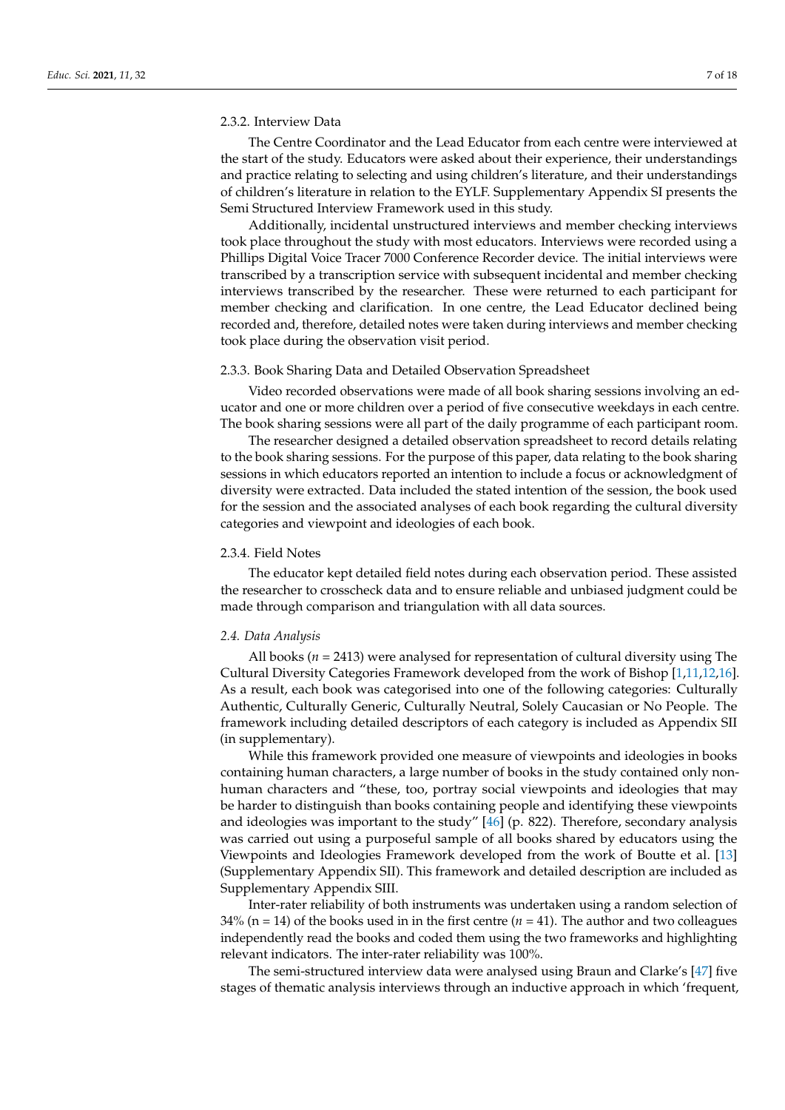## 2.3.2. Interview Data

The Centre Coordinator and the Lead Educator from each centre were interviewed at the start of the study. Educators were asked about their experience, their understandings and practice relating to selecting and using children's literature, and their understandings of children's literature in relation to the EYLF. Supplementary Appendix SI presents the Semi Structured Interview Framework used in this study.

Additionally, incidental unstructured interviews and member checking interviews took place throughout the study with most educators. Interviews were recorded using a Phillips Digital Voice Tracer 7000 Conference Recorder device. The initial interviews were transcribed by a transcription service with subsequent incidental and member checking interviews transcribed by the researcher. These were returned to each participant for member checking and clarification. In one centre, the Lead Educator declined being recorded and, therefore, detailed notes were taken during interviews and member checking took place during the observation visit period.

## 2.3.3. Book Sharing Data and Detailed Observation Spreadsheet

Video recorded observations were made of all book sharing sessions involving an educator and one or more children over a period of five consecutive weekdays in each centre. The book sharing sessions were all part of the daily programme of each participant room.

The researcher designed a detailed observation spreadsheet to record details relating to the book sharing sessions. For the purpose of this paper, data relating to the book sharing sessions in which educators reported an intention to include a focus or acknowledgment of diversity were extracted. Data included the stated intention of the session, the book used for the session and the associated analyses of each book regarding the cultural diversity categories and viewpoint and ideologies of each book.

## 2.3.4. Field Notes

The educator kept detailed field notes during each observation period. These assisted the researcher to crosscheck data and to ensure reliable and unbiased judgment could be made through comparison and triangulation with all data sources.

#### *2.4. Data Analysis*

All books (*n* = 2413) were analysed for representation of cultural diversity using The Cultural Diversity Categories Framework developed from the work of Bishop [\[1](#page-15-0)[,11](#page-16-1)[,12](#page-16-22)[,16\]](#page-16-23). As a result, each book was categorised into one of the following categories: Culturally Authentic, Culturally Generic, Culturally Neutral, Solely Caucasian or No People. The framework including detailed descriptors of each category is included as Appendix SII (in supplementary).

While this framework provided one measure of viewpoints and ideologies in books containing human characters, a large number of books in the study contained only nonhuman characters and "these, too, portray social viewpoints and ideologies that may be harder to distinguish than books containing people and identifying these viewpoints and ideologies was important to the study" [\[46\]](#page-17-7) (p. 822). Therefore, secondary analysis was carried out using a purposeful sample of all books shared by educators using the Viewpoints and Ideologies Framework developed from the work of Boutte et al. [\[13\]](#page-16-3) (Supplementary Appendix SII). This framework and detailed description are included as Supplementary Appendix SIII.

Inter-rater reliability of both instruments was undertaken using a random selection of  $34\%$  (n = 14) of the books used in in the first centre ( $n = 41$ ). The author and two colleagues independently read the books and coded them using the two frameworks and highlighting relevant indicators. The inter-rater reliability was 100%.

The semi-structured interview data were analysed using Braun and Clarke's [\[47\]](#page-17-8) five stages of thematic analysis interviews through an inductive approach in which 'frequent,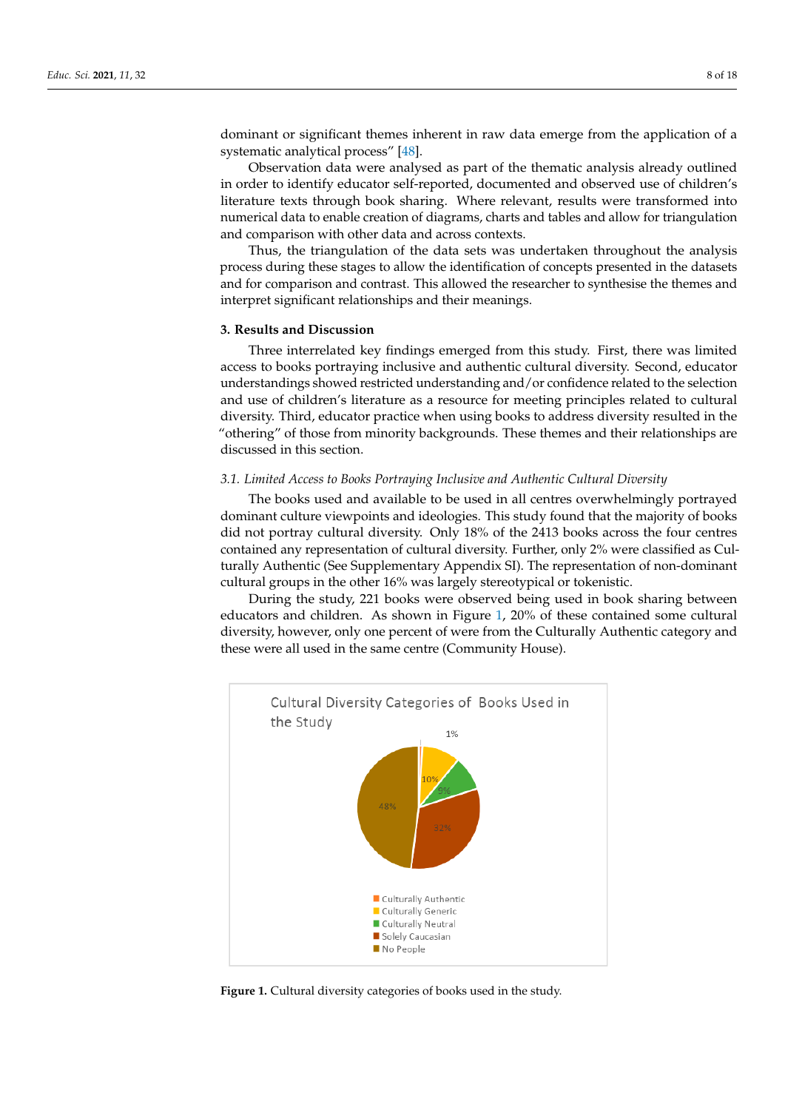dominant or significant themes inherent in raw data emerge from the application of a systematic analytical process" [\[48\]](#page-17-9).

Observation data were analysed as part of the thematic analysis already outlined in order to identify educator self-reported, documented and observed use of children's literature texts through book sharing. Where relevant, results were transformed into numerical data to enable creation of diagrams, charts and tables and allow for triangulation and comparison with other data and across contexts.

Thus, the triangulation of the data sets was undertaken throughout the analysis process during these stages to allow the identification of concepts presented in the datasets and for comparison and contrast. This allowed the researcher to synthesise the themes and interpret significant relationships and their meanings.

## **3. Results and Discussion**

Three interrelated key findings emerged from this study. First, there was limited access to books portraying inclusive and authentic cultural diversity. Second, educator understandings showed restricted understanding and/or confidence related to the selection and use of children's literature as a resource for meeting principles related to cultural diversity. Third, educator practice when using books to address diversity resulted in the "othering" of those from minority backgrounds. These themes and their relationships are discussed in this section.

#### *3.1. Limited Access to Books Portraying Inclusive and Authentic Cultural Diversity*

The books used and available to be used in all centres overwhelmingly portrayed dominant culture viewpoints and ideologies. This study found that the majority of books did not portray cultural diversity. Only 18% of the 2413 books across the four centres contained any representation of cultural diversity. Further, only 2% were classified as Culturally Authentic (See Supplementary Appendix SI). The representation of non-dominant cultural groups in the other 16% was largely stereotypical or tokenistic.

During the study, 221 books were observed being used in book sharing between educators and children. As shown in Figure [1,](#page-7-0) 20% of these contained some cultural diversity, however, only one percent of were from the Culturally Authentic category and these were all used in the same centre (Community House).

<span id="page-7-0"></span>

**Figure 1.** Cultural diversity categories of books used in the study. **Figure 1.** Cultural diversity categories of books used in the study.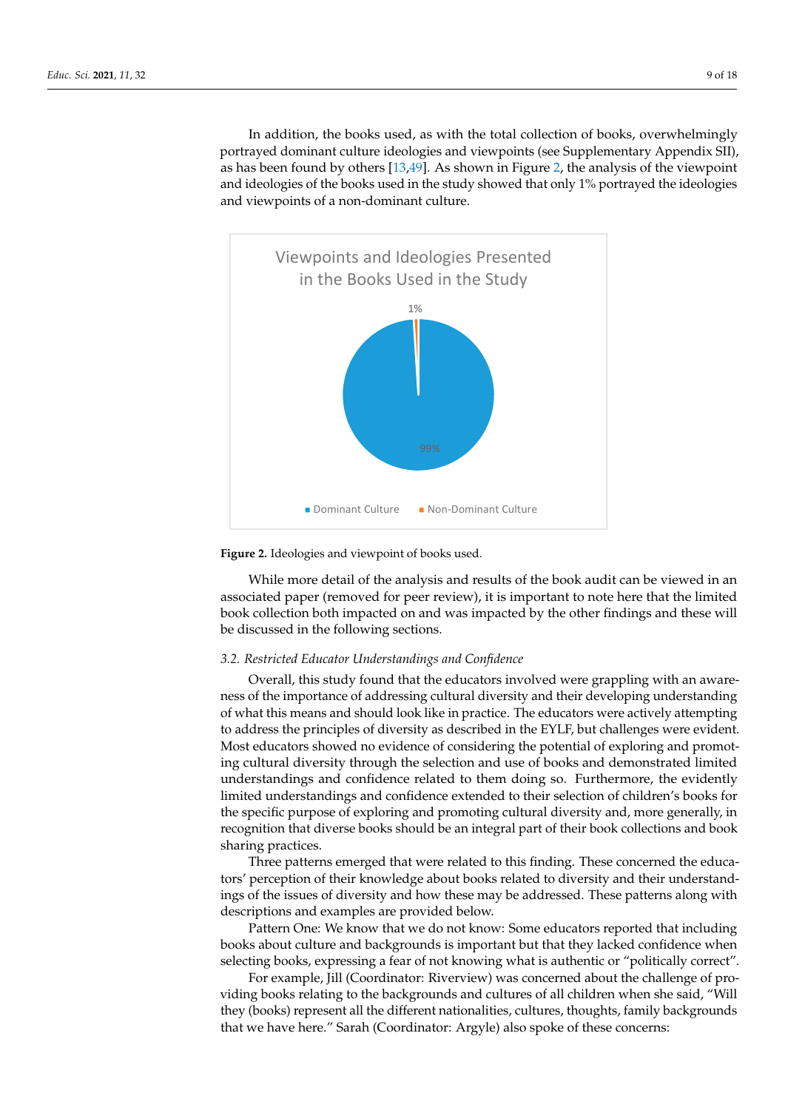In addition, the books used, as with the total collection of books, overwhelmingly In datation, the books disea, as what the total concentron of books, overwhelmingly<br>portrayed dominant culture ideologies and viewpoints (see Supplementary Appendix SII), portray of dominant candre racerogies and viewpoints (see suppremember) repertaints on  $\beta$ as has been reatively entered to your paper (removed for performance) and ideologies of the books used in the study showed that only 1% portrayed the ideologies and viewpoints of a non-dominant culture.  $\mathbf{r}$  collection both impact collection by the other findings  $\mathbf{r}$  is  $\mathbf{r}$  for  $\mathbf{r}$  and the collection by the other findings and the collection of a non-dominant culture.

portrayed dominant culture ideologies and viewpoints (see Supplementary Appendix

<span id="page-8-0"></span>



While more detail of the analysis and results of the book audit can be viewed in an associated paper (removed for peer review), it is important to note here that the limited book collection both impacted on and was impacted by the other findings and these will be discussed in the following sections.

## tempting to address the principles of diversity as described in the EYLF, but challenges *3.2. Restricted Educator Understandings and Confidence*

Overall, this study found that the educators involved were grappling with an awareness of the importance of addressing cultural diversity and their developing understanding of what this means and should look like in practice. The educators were actively attempting to address the principles of diversity as described in the EYLF, but challenges were evident. Most educators showed no evidence of considering the potential of exploring and promoting cultural diversity through the selection and use of books and demonstrated limited understandings and confidence related to them doing so. Furthermore, the evidently limited understandings and confidence extended to their selection of children's books for the specific purpose of exploring and promoting cultural diversity and, more generally, in recognition that diverse books should be an integral part of their book collections and book sharing practices.

Three patterns emerged that were related to this finding. These concerned the educators' perception of their knowledge about books related to diversity and their understandings of the issues of diversity and how these may be addressed. These patterns along with descriptions and examples are provided below.

Pattern One: We know that we do not know: Some educators reported that including books about culture and backgrounds is important but that they lacked confidence when selecting books, expressing a fear of not knowing what is authentic or "politically correct".

For example, Jill (Coordinator: Riverview) was concerned about the challenge of providing books relating to the backgrounds and cultures of all children when she said, "Will they (books) represent all the different nationalities, cultures, thoughts, family backgrounds that we have here." Sarah (Coordinator: Argyle) also spoke of these concerns: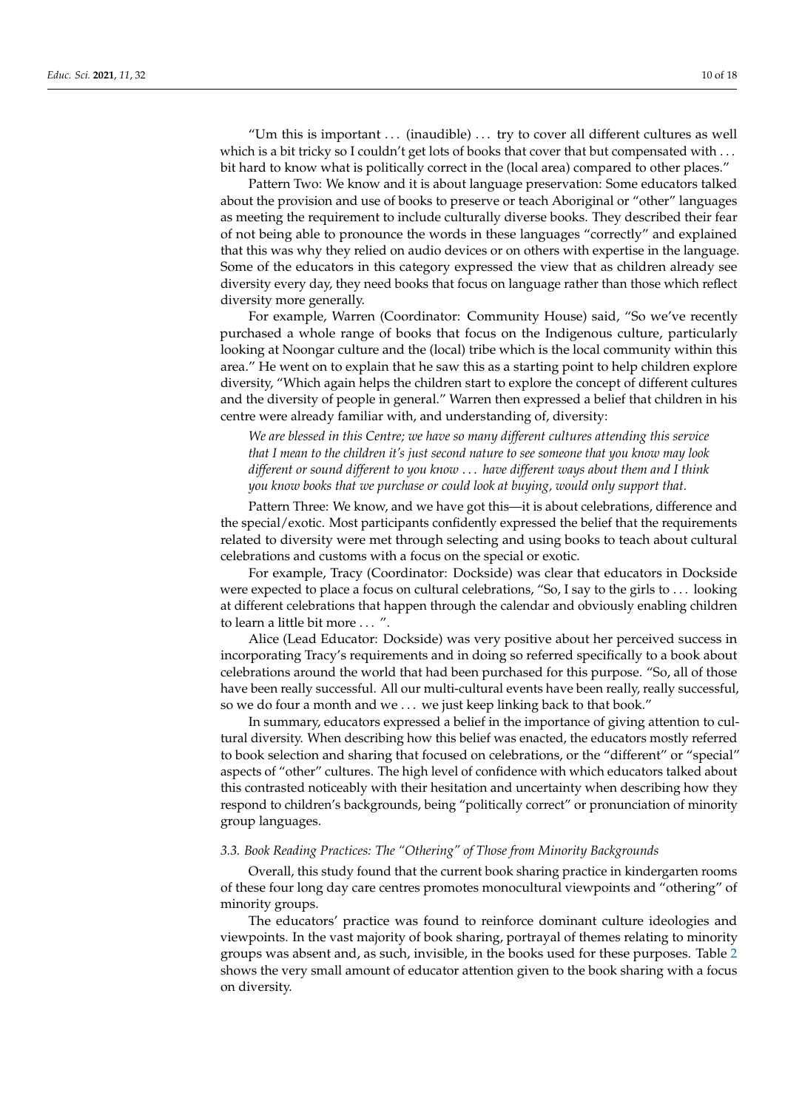"Um this is important  $\dots$  (inaudible)  $\dots$  try to cover all different cultures as well which is a bit tricky so I couldn't get lots of books that cover that but compensated with ... bit hard to know what is politically correct in the (local area) compared to other places."

Pattern Two: We know and it is about language preservation: Some educators talked about the provision and use of books to preserve or teach Aboriginal or "other" languages as meeting the requirement to include culturally diverse books. They described their fear of not being able to pronounce the words in these languages "correctly" and explained that this was why they relied on audio devices or on others with expertise in the language. Some of the educators in this category expressed the view that as children already see diversity every day, they need books that focus on language rather than those which reflect diversity more generally.

For example, Warren (Coordinator: Community House) said, "So we've recently purchased a whole range of books that focus on the Indigenous culture, particularly looking at Noongar culture and the (local) tribe which is the local community within this area." He went on to explain that he saw this as a starting point to help children explore diversity, "Which again helps the children start to explore the concept of different cultures and the diversity of people in general." Warren then expressed a belief that children in his centre were already familiar with, and understanding of, diversity:

*We are blessed in this Centre; we have so many different cultures attending this service that I mean to the children it's just second nature to see someone that you know may look different or sound different to you know* . . . *have different ways about them and I think you know books that we purchase or could look at buying, would only support that.*

Pattern Three: We know, and we have got this—it is about celebrations, difference and the special/exotic. Most participants confidently expressed the belief that the requirements related to diversity were met through selecting and using books to teach about cultural celebrations and customs with a focus on the special or exotic.

For example, Tracy (Coordinator: Dockside) was clear that educators in Dockside were expected to place a focus on cultural celebrations, "So, I say to the girls to . . . looking at different celebrations that happen through the calendar and obviously enabling children to learn a little bit more . . . ".

Alice (Lead Educator: Dockside) was very positive about her perceived success in incorporating Tracy's requirements and in doing so referred specifically to a book about celebrations around the world that had been purchased for this purpose. "So, all of those have been really successful. All our multi-cultural events have been really, really successful, so we do four a month and we . . . we just keep linking back to that book."

In summary, educators expressed a belief in the importance of giving attention to cultural diversity. When describing how this belief was enacted, the educators mostly referred to book selection and sharing that focused on celebrations, or the "different" or "special" aspects of "other" cultures. The high level of confidence with which educators talked about this contrasted noticeably with their hesitation and uncertainty when describing how they respond to children's backgrounds, being "politically correct" or pronunciation of minority group languages.

## *3.3. Book Reading Practices: The "Othering" of Those from Minority Backgrounds*

Overall, this study found that the current book sharing practice in kindergarten rooms of these four long day care centres promotes monocultural viewpoints and "othering" of minority groups.

The educators' practice was found to reinforce dominant culture ideologies and viewpoints. In the vast majority of book sharing, portrayal of themes relating to minority groups was absent and, as such, invisible, in the books used for these purposes. Table [2](#page-10-0) shows the very small amount of educator attention given to the book sharing with a focus on diversity.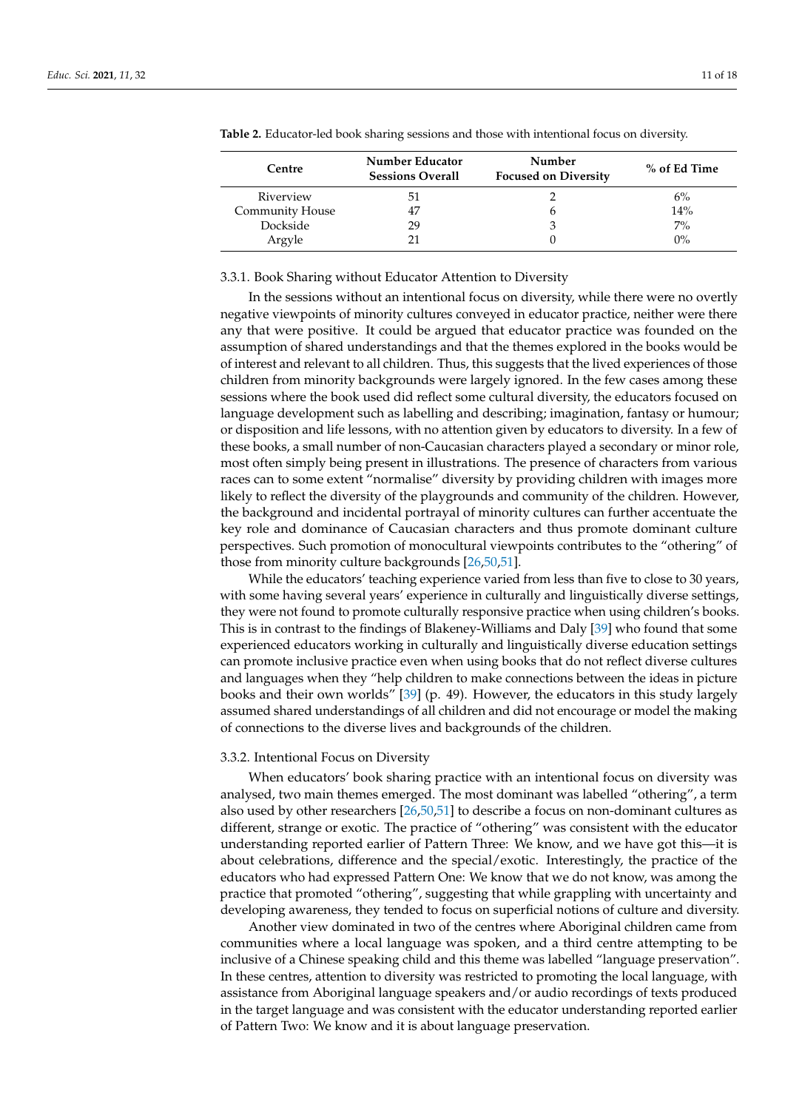| Centre          | Number Educator<br><b>Sessions Overall</b> | Number<br><b>Focused on Diversity</b> | % of Ed Time |  |
|-----------------|--------------------------------------------|---------------------------------------|--------------|--|
| Riverview       | 51                                         |                                       | 6%           |  |
| Community House | 47                                         | n                                     | 14%          |  |
| Dockside        | 29                                         | 3                                     | 7%           |  |
| Argyle          |                                            |                                       | $0\%$        |  |

<span id="page-10-0"></span>**Table 2.** Educator-led book sharing sessions and those with intentional focus on diversity.

#### 3.3.1. Book Sharing without Educator Attention to Diversity

In the sessions without an intentional focus on diversity, while there were no overtly negative viewpoints of minority cultures conveyed in educator practice, neither were there any that were positive. It could be argued that educator practice was founded on the assumption of shared understandings and that the themes explored in the books would be of interest and relevant to all children. Thus, this suggests that the lived experiences of those children from minority backgrounds were largely ignored. In the few cases among these sessions where the book used did reflect some cultural diversity, the educators focused on language development such as labelling and describing; imagination, fantasy or humour; or disposition and life lessons, with no attention given by educators to diversity. In a few of these books, a small number of non-Caucasian characters played a secondary or minor role, most often simply being present in illustrations. The presence of characters from various races can to some extent "normalise" diversity by providing children with images more likely to reflect the diversity of the playgrounds and community of the children. However, the background and incidental portrayal of minority cultures can further accentuate the key role and dominance of Caucasian characters and thus promote dominant culture perspectives. Such promotion of monocultural viewpoints contributes to the "othering" of those from minority culture backgrounds [\[26](#page-16-12)[,50,](#page-17-11)[51\]](#page-17-12).

While the educators' teaching experience varied from less than five to close to 30 years, with some having several years' experience in culturally and linguistically diverse settings, they were not found to promote culturally responsive practice when using children's books. This is in contrast to the findings of Blakeney-Williams and Daly [\[39\]](#page-17-1) who found that some experienced educators working in culturally and linguistically diverse education settings can promote inclusive practice even when using books that do not reflect diverse cultures and languages when they "help children to make connections between the ideas in picture books and their own worlds" [\[39\]](#page-17-1) (p. 49). However, the educators in this study largely assumed shared understandings of all children and did not encourage or model the making of connections to the diverse lives and backgrounds of the children.

### 3.3.2. Intentional Focus on Diversity

When educators' book sharing practice with an intentional focus on diversity was analysed, two main themes emerged. The most dominant was labelled "othering", a term also used by other researchers [\[26](#page-16-12)[,50](#page-17-11)[,51\]](#page-17-12) to describe a focus on non-dominant cultures as different, strange or exotic. The practice of "othering" was consistent with the educator understanding reported earlier of Pattern Three: We know, and we have got this—it is about celebrations, difference and the special/exotic. Interestingly, the practice of the educators who had expressed Pattern One: We know that we do not know, was among the practice that promoted "othering", suggesting that while grappling with uncertainty and developing awareness, they tended to focus on superficial notions of culture and diversity.

Another view dominated in two of the centres where Aboriginal children came from communities where a local language was spoken, and a third centre attempting to be inclusive of a Chinese speaking child and this theme was labelled "language preservation". In these centres, attention to diversity was restricted to promoting the local language, with assistance from Aboriginal language speakers and/or audio recordings of texts produced in the target language and was consistent with the educator understanding reported earlier of Pattern Two: We know and it is about language preservation.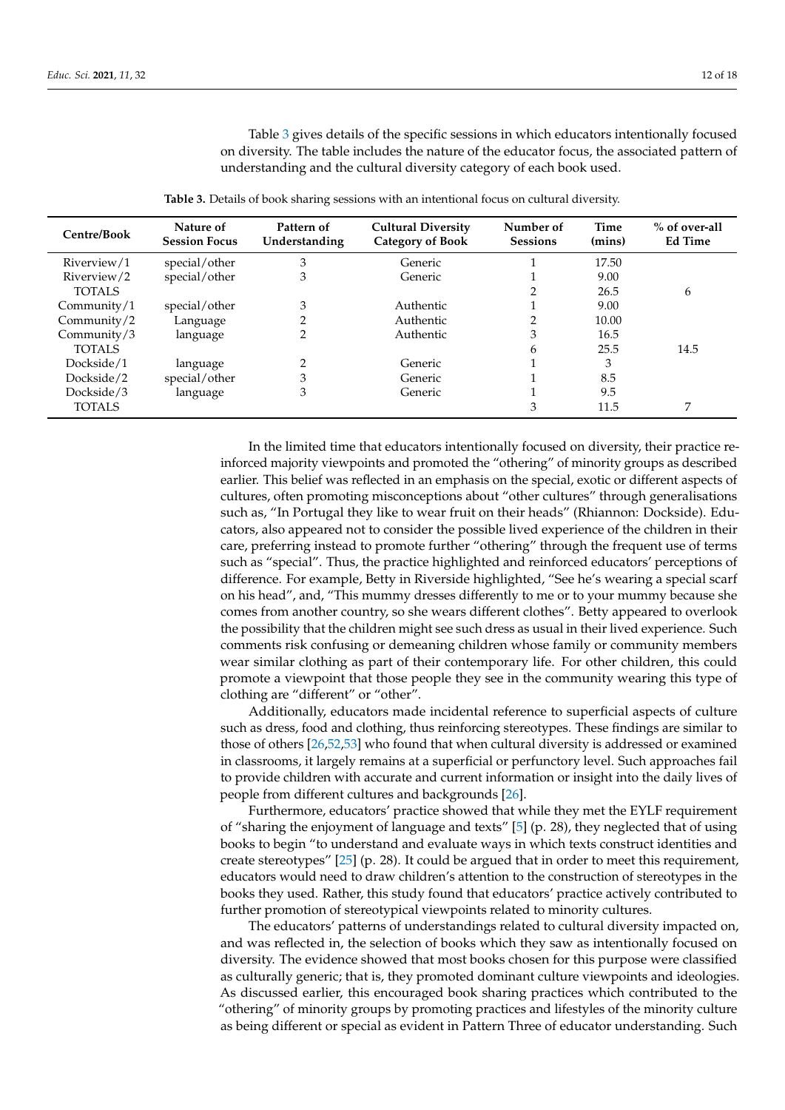Table [3](#page-11-0) gives details of the specific sessions in which educators intentionally focused on diversity. The table includes the nature of the educator focus, the associated pattern of understanding and the cultural diversity category of each book used.

**Table 3.** Details of book sharing sessions with an intentional focus on cultural diversity.

<span id="page-11-0"></span>

| Centre/Book    | Nature of<br><b>Session Focus</b> | Pattern of<br>Understanding | <b>Cultural Diversity</b><br><b>Category of Book</b> | Number of<br><b>Sessions</b> | <b>Time</b><br>(mins) | % of over-all<br><b>Ed Time</b> |
|----------------|-----------------------------------|-----------------------------|------------------------------------------------------|------------------------------|-----------------------|---------------------------------|
| Riverview/1    | special/other                     | 3                           | Generic                                              |                              | 17.50                 |                                 |
| Riverview/2    | special/other                     | 3                           | Generic                                              |                              | 9.00                  |                                 |
| <b>TOTALS</b>  |                                   |                             |                                                      |                              | 26.5                  | 6                               |
| Community/ $1$ | special/other                     | 3                           | Authentic                                            |                              | 9.00                  |                                 |
| Community/ $2$ | Language                          |                             | Authentic                                            | ◠                            | 10.00                 |                                 |
| Community/3    | language                          |                             | Authentic                                            | 3                            | 16.5                  |                                 |
| <b>TOTALS</b>  |                                   |                             |                                                      | 6                            | 25.5                  | 14.5                            |
| Dockside/1     | language                          | ∍                           | Generic                                              |                              | 3                     |                                 |
| Dockside/2     | special/other                     | 3                           | Generic                                              |                              | 8.5                   |                                 |
| Dockside/3     | language                          | 3                           | Generic                                              |                              | 9.5                   |                                 |
| <b>TOTALS</b>  |                                   |                             |                                                      | 3                            | 11.5                  | 7                               |

In the limited time that educators intentionally focused on diversity, their practice reinforced majority viewpoints and promoted the "othering" of minority groups as described earlier. This belief was reflected in an emphasis on the special, exotic or different aspects of cultures, often promoting misconceptions about "other cultures" through generalisations such as, "In Portugal they like to wear fruit on their heads" (Rhiannon: Dockside). Educators, also appeared not to consider the possible lived experience of the children in their care, preferring instead to promote further "othering" through the frequent use of terms such as "special". Thus, the practice highlighted and reinforced educators' perceptions of difference. For example, Betty in Riverside highlighted, "See he's wearing a special scarf on his head", and, "This mummy dresses differently to me or to your mummy because she comes from another country, so she wears different clothes". Betty appeared to overlook the possibility that the children might see such dress as usual in their lived experience. Such comments risk confusing or demeaning children whose family or community members wear similar clothing as part of their contemporary life. For other children, this could promote a viewpoint that those people they see in the community wearing this type of clothing are "different" or "other".

Additionally, educators made incidental reference to superficial aspects of culture such as dress, food and clothing, thus reinforcing stereotypes. These findings are similar to those of others [\[26,](#page-16-12)[52,](#page-17-13)[53\]](#page-17-14) who found that when cultural diversity is addressed or examined in classrooms, it largely remains at a superficial or perfunctory level. Such approaches fail to provide children with accurate and current information or insight into the daily lives of people from different cultures and backgrounds [\[26\]](#page-16-12).

Furthermore, educators' practice showed that while they met the EYLF requirement of "sharing the enjoyment of language and texts"  $[5]$  (p. 28), they neglected that of using books to begin "to understand and evaluate ways in which texts construct identities and create stereotypes"  $[25]$  (p. 28). It could be argued that in order to meet this requirement, educators would need to draw children's attention to the construction of stereotypes in the books they used. Rather, this study found that educators' practice actively contributed to further promotion of stereotypical viewpoints related to minority cultures.

The educators' patterns of understandings related to cultural diversity impacted on, and was reflected in, the selection of books which they saw as intentionally focused on diversity. The evidence showed that most books chosen for this purpose were classified as culturally generic; that is, they promoted dominant culture viewpoints and ideologies. As discussed earlier, this encouraged book sharing practices which contributed to the "othering" of minority groups by promoting practices and lifestyles of the minority culture as being different or special as evident in Pattern Three of educator understanding. Such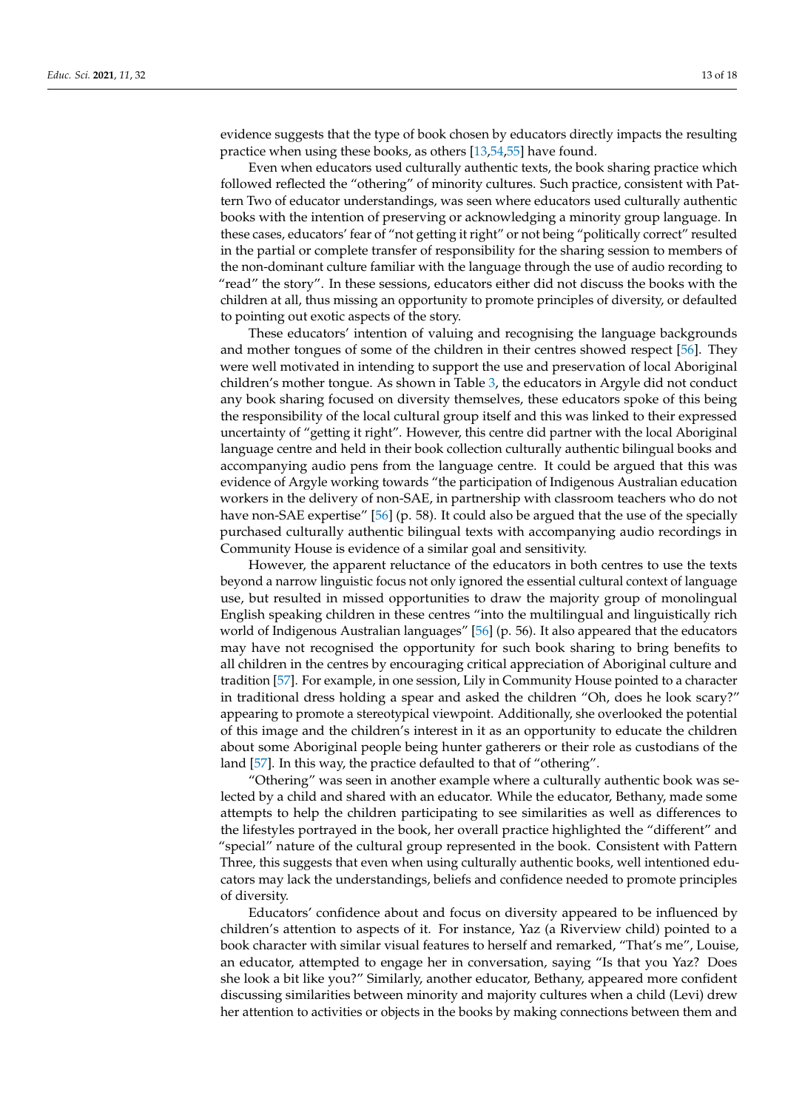evidence suggests that the type of book chosen by educators directly impacts the resulting practice when using these books, as others [\[13,](#page-16-3)[54,](#page-17-15)[55\]](#page-17-16) have found.

Even when educators used culturally authentic texts, the book sharing practice which followed reflected the "othering" of minority cultures. Such practice, consistent with Pattern Two of educator understandings, was seen where educators used culturally authentic books with the intention of preserving or acknowledging a minority group language. In these cases, educators' fear of "not getting it right" or not being "politically correct" resulted in the partial or complete transfer of responsibility for the sharing session to members of the non-dominant culture familiar with the language through the use of audio recording to "read" the story". In these sessions, educators either did not discuss the books with the children at all, thus missing an opportunity to promote principles of diversity, or defaulted to pointing out exotic aspects of the story.

These educators' intention of valuing and recognising the language backgrounds and mother tongues of some of the children in their centres showed respect [\[56\]](#page-17-17). They were well motivated in intending to support the use and preservation of local Aboriginal children's mother tongue. As shown in Table [3,](#page-11-0) the educators in Argyle did not conduct any book sharing focused on diversity themselves, these educators spoke of this being the responsibility of the local cultural group itself and this was linked to their expressed uncertainty of "getting it right". However, this centre did partner with the local Aboriginal language centre and held in their book collection culturally authentic bilingual books and accompanying audio pens from the language centre. It could be argued that this was evidence of Argyle working towards "the participation of Indigenous Australian education workers in the delivery of non-SAE, in partnership with classroom teachers who do not have non-SAE expertise" [\[56\]](#page-17-17) (p. 58). It could also be argued that the use of the specially purchased culturally authentic bilingual texts with accompanying audio recordings in Community House is evidence of a similar goal and sensitivity.

However, the apparent reluctance of the educators in both centres to use the texts beyond a narrow linguistic focus not only ignored the essential cultural context of language use, but resulted in missed opportunities to draw the majority group of monolingual English speaking children in these centres "into the multilingual and linguistically rich world of Indigenous Australian languages" [\[56\]](#page-17-17) (p. 56). It also appeared that the educators may have not recognised the opportunity for such book sharing to bring benefits to all children in the centres by encouraging critical appreciation of Aboriginal culture and tradition [\[57\]](#page-17-18). For example, in one session, Lily in Community House pointed to a character in traditional dress holding a spear and asked the children "Oh, does he look scary?" appearing to promote a stereotypical viewpoint. Additionally, she overlooked the potential of this image and the children's interest in it as an opportunity to educate the children about some Aboriginal people being hunter gatherers or their role as custodians of the land [\[57\]](#page-17-18). In this way, the practice defaulted to that of "othering".

"Othering" was seen in another example where a culturally authentic book was selected by a child and shared with an educator. While the educator, Bethany, made some attempts to help the children participating to see similarities as well as differences to the lifestyles portrayed in the book, her overall practice highlighted the "different" and "special" nature of the cultural group represented in the book. Consistent with Pattern Three, this suggests that even when using culturally authentic books, well intentioned educators may lack the understandings, beliefs and confidence needed to promote principles of diversity.

Educators' confidence about and focus on diversity appeared to be influenced by children's attention to aspects of it. For instance, Yaz (a Riverview child) pointed to a book character with similar visual features to herself and remarked, "That's me", Louise, an educator, attempted to engage her in conversation, saying "Is that you Yaz? Does she look a bit like you?" Similarly, another educator, Bethany, appeared more confident discussing similarities between minority and majority cultures when a child (Levi) drew her attention to activities or objects in the books by making connections between them and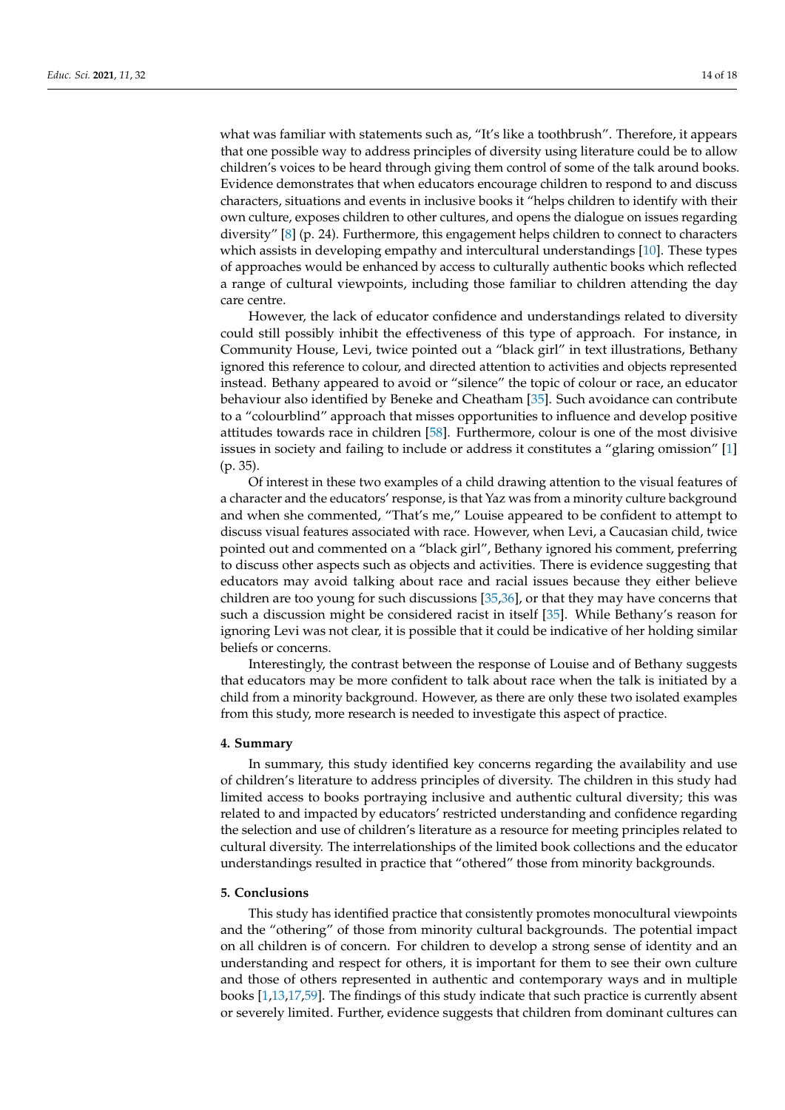what was familiar with statements such as, "It's like a toothbrush". Therefore, it appears that one possible way to address principles of diversity using literature could be to allow children's voices to be heard through giving them control of some of the talk around books. Evidence demonstrates that when educators encourage children to respond to and discuss characters, situations and events in inclusive books it "helps children to identify with their own culture, exposes children to other cultures, and opens the dialogue on issues regarding diversity" [\[8\]](#page-15-4) (p. 24). Furthermore, this engagement helps children to connect to characters which assists in developing empathy and intercultural understandings [\[10\]](#page-16-0). These types of approaches would be enhanced by access to culturally authentic books which reflected a range of cultural viewpoints, including those familiar to children attending the day care centre.

However, the lack of educator confidence and understandings related to diversity could still possibly inhibit the effectiveness of this type of approach. For instance, in Community House, Levi, twice pointed out a "black girl" in text illustrations, Bethany ignored this reference to colour, and directed attention to activities and objects represented instead. Bethany appeared to avoid or "silence" the topic of colour or race, an educator behaviour also identified by Beneke and Cheatham [\[35\]](#page-16-19). Such avoidance can contribute to a "colourblind" approach that misses opportunities to influence and develop positive attitudes towards race in children [\[58\]](#page-17-19). Furthermore, colour is one of the most divisive issues in society and failing to include or address it constitutes a "glaring omission" [\[1\]](#page-15-0) (p. 35).

Of interest in these two examples of a child drawing attention to the visual features of a character and the educators' response, is that Yaz was from a minority culture background and when she commented, "That's me," Louise appeared to be confident to attempt to discuss visual features associated with race. However, when Levi, a Caucasian child, twice pointed out and commented on a "black girl", Bethany ignored his comment, preferring to discuss other aspects such as objects and activities. There is evidence suggesting that educators may avoid talking about race and racial issues because they either believe children are too young for such discussions [\[35](#page-16-19)[,36\]](#page-16-20), or that they may have concerns that such a discussion might be considered racist in itself [\[35\]](#page-16-19). While Bethany's reason for ignoring Levi was not clear, it is possible that it could be indicative of her holding similar beliefs or concerns.

Interestingly, the contrast between the response of Louise and of Bethany suggests that educators may be more confident to talk about race when the talk is initiated by a child from a minority background. However, as there are only these two isolated examples from this study, more research is needed to investigate this aspect of practice.

## **4. Summary**

In summary, this study identified key concerns regarding the availability and use of children's literature to address principles of diversity. The children in this study had limited access to books portraying inclusive and authentic cultural diversity; this was related to and impacted by educators' restricted understanding and confidence regarding the selection and use of children's literature as a resource for meeting principles related to cultural diversity. The interrelationships of the limited book collections and the educator understandings resulted in practice that "othered" those from minority backgrounds.

## **5. Conclusions**

This study has identified practice that consistently promotes monocultural viewpoints and the "othering" of those from minority cultural backgrounds. The potential impact on all children is of concern. For children to develop a strong sense of identity and an understanding and respect for others, it is important for them to see their own culture and those of others represented in authentic and contemporary ways and in multiple books [\[1,](#page-15-0)[13,](#page-16-3)[17,](#page-16-2)[59\]](#page-17-20). The findings of this study indicate that such practice is currently absent or severely limited. Further, evidence suggests that children from dominant cultures can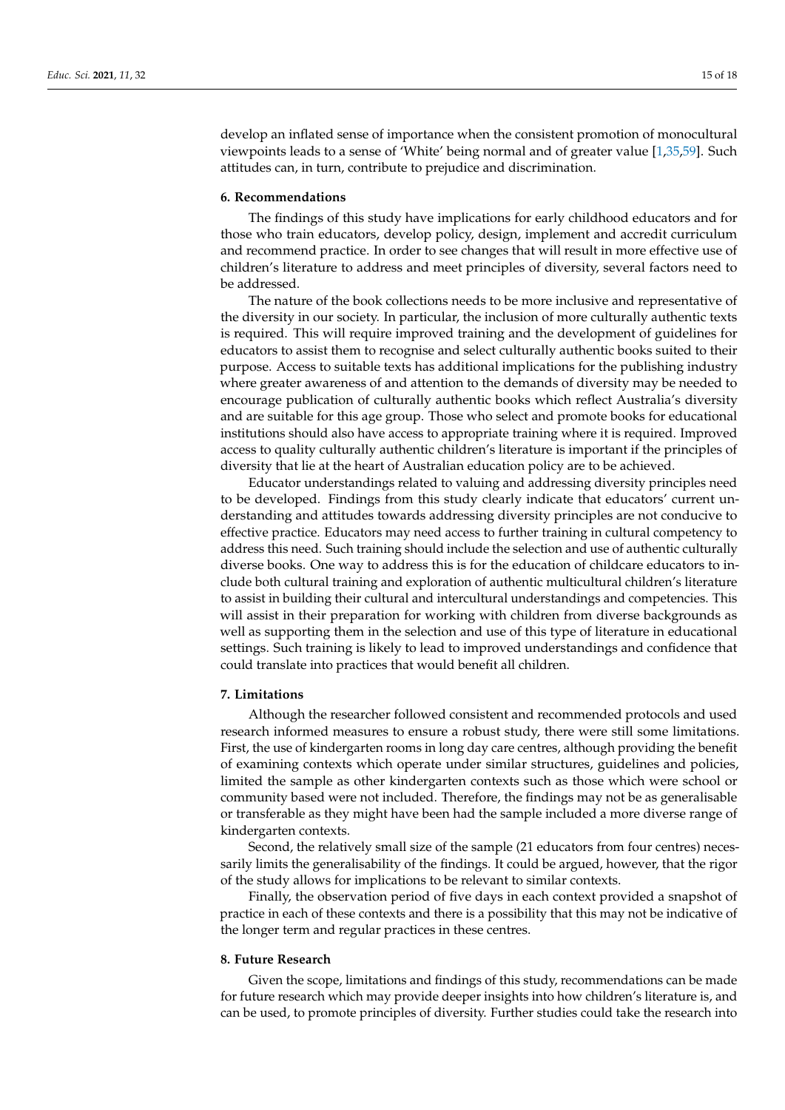develop an inflated sense of importance when the consistent promotion of monocultural viewpoints leads to a sense of 'White' being normal and of greater value [\[1,](#page-15-0)[35](#page-16-19)[,59\]](#page-17-20). Such attitudes can, in turn, contribute to prejudice and discrimination.

## **6. Recommendations**

The findings of this study have implications for early childhood educators and for those who train educators, develop policy, design, implement and accredit curriculum and recommend practice. In order to see changes that will result in more effective use of children's literature to address and meet principles of diversity, several factors need to be addressed.

The nature of the book collections needs to be more inclusive and representative of the diversity in our society. In particular, the inclusion of more culturally authentic texts is required. This will require improved training and the development of guidelines for educators to assist them to recognise and select culturally authentic books suited to their purpose. Access to suitable texts has additional implications for the publishing industry where greater awareness of and attention to the demands of diversity may be needed to encourage publication of culturally authentic books which reflect Australia's diversity and are suitable for this age group. Those who select and promote books for educational institutions should also have access to appropriate training where it is required. Improved access to quality culturally authentic children's literature is important if the principles of diversity that lie at the heart of Australian education policy are to be achieved.

Educator understandings related to valuing and addressing diversity principles need to be developed. Findings from this study clearly indicate that educators' current understanding and attitudes towards addressing diversity principles are not conducive to effective practice. Educators may need access to further training in cultural competency to address this need. Such training should include the selection and use of authentic culturally diverse books. One way to address this is for the education of childcare educators to include both cultural training and exploration of authentic multicultural children's literature to assist in building their cultural and intercultural understandings and competencies. This will assist in their preparation for working with children from diverse backgrounds as well as supporting them in the selection and use of this type of literature in educational settings. Such training is likely to lead to improved understandings and confidence that could translate into practices that would benefit all children.

#### **7. Limitations**

Although the researcher followed consistent and recommended protocols and used research informed measures to ensure a robust study, there were still some limitations. First, the use of kindergarten rooms in long day care centres, although providing the benefit of examining contexts which operate under similar structures, guidelines and policies, limited the sample as other kindergarten contexts such as those which were school or community based were not included. Therefore, the findings may not be as generalisable or transferable as they might have been had the sample included a more diverse range of kindergarten contexts.

Second, the relatively small size of the sample (21 educators from four centres) necessarily limits the generalisability of the findings. It could be argued, however, that the rigor of the study allows for implications to be relevant to similar contexts.

Finally, the observation period of five days in each context provided a snapshot of practice in each of these contexts and there is a possibility that this may not be indicative of the longer term and regular practices in these centres.

### **8. Future Research**

Given the scope, limitations and findings of this study, recommendations can be made for future research which may provide deeper insights into how children's literature is, and can be used, to promote principles of diversity. Further studies could take the research into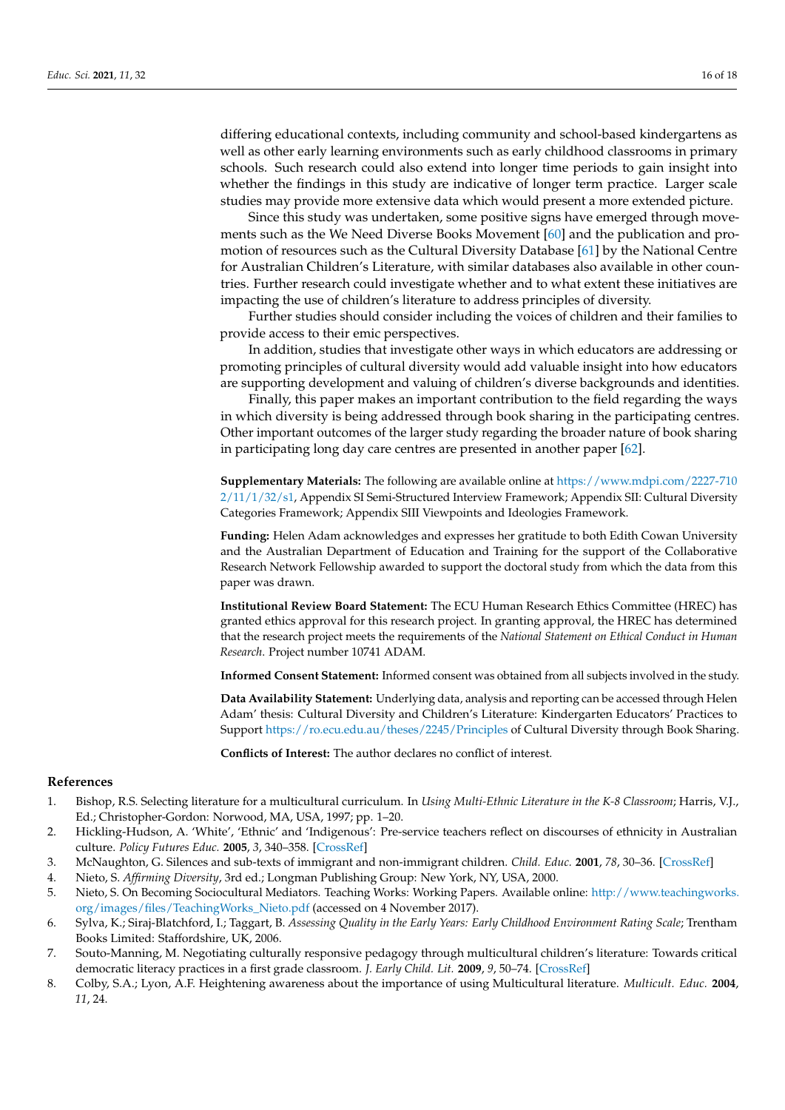differing educational contexts, including community and school-based kindergartens as well as other early learning environments such as early childhood classrooms in primary schools. Such research could also extend into longer time periods to gain insight into whether the findings in this study are indicative of longer term practice. Larger scale studies may provide more extensive data which would present a more extended picture.

Since this study was undertaken, some positive signs have emerged through movements such as the We Need Diverse Books Movement [\[60\]](#page-17-21) and the publication and promotion of resources such as the Cultural Diversity Database [\[61\]](#page-17-22) by the National Centre for Australian Children's Literature, with similar databases also available in other countries. Further research could investigate whether and to what extent these initiatives are impacting the use of children's literature to address principles of diversity.

Further studies should consider including the voices of children and their families to provide access to their emic perspectives.

In addition, studies that investigate other ways in which educators are addressing or promoting principles of cultural diversity would add valuable insight into how educators are supporting development and valuing of children's diverse backgrounds and identities.

Finally, this paper makes an important contribution to the field regarding the ways in which diversity is being addressed through book sharing in the participating centres. Other important outcomes of the larger study regarding the broader nature of book sharing in participating long day care centres are presented in another paper [\[62\]](#page-17-23).

**Supplementary Materials:** The following are available online at [https://www.mdpi.com/2227-710](https://www.mdpi.com/2227-7102/11/1/32/s1) [2/11/1/32/s1,](https://www.mdpi.com/2227-7102/11/1/32/s1) Appendix SI Semi-Structured Interview Framework; Appendix SII: Cultural Diversity Categories Framework; Appendix SIII Viewpoints and Ideologies Framework.

**Funding:** Helen Adam acknowledges and expresses her gratitude to both Edith Cowan University and the Australian Department of Education and Training for the support of the Collaborative Research Network Fellowship awarded to support the doctoral study from which the data from this paper was drawn.

**Institutional Review Board Statement:** The ECU Human Research Ethics Committee (HREC) has granted ethics approval for this research project. In granting approval, the HREC has determined that the research project meets the requirements of the *National Statement on Ethical Conduct in Human Research*. Project number 10741 ADAM.

**Informed Consent Statement:** Informed consent was obtained from all subjects involved in the study.

**Data Availability Statement:** Underlying data, analysis and reporting can be accessed through Helen Adam' thesis: Cultural Diversity and Children's Literature: Kindergarten Educators' Practices to Support <https://ro.ecu.edu.au/theses/2245/Principles> of Cultural Diversity through Book Sharing.

**Conflicts of Interest:** The author declares no conflict of interest.

#### **References**

- <span id="page-15-0"></span>1. Bishop, R.S. Selecting literature for a multicultural curriculum. In *Using Multi-Ethnic Literature in the K-8 Classroom*; Harris, V.J., Ed.; Christopher-Gordon: Norwood, MA, USA, 1997; pp. 1–20.
- 2. Hickling-Hudson, A. 'White', 'Ethnic' and 'Indigenous': Pre-service teachers reflect on discourses of ethnicity in Australian culture. *Policy Futures Educ.* **2005**, *3*, 340–358. [\[CrossRef\]](http://doi.org/10.2304/pfie.2005.3.4.340)
- <span id="page-15-5"></span>3. McNaughton, G. Silences and sub-texts of immigrant and non-immigrant children. *Child. Educ.* **2001**, *78*, 30–36. [\[CrossRef\]](http://doi.org/10.1080/00094056.2001.10521683)
- 4. Nieto, S. *Affirming Diversity*, 3rd ed.; Longman Publishing Group: New York, NY, USA, 2000.
- <span id="page-15-1"></span>5. Nieto, S. On Becoming Sociocultural Mediators. Teaching Works: Working Papers. Available online: [http://www.teachingworks.](http://www.teachingworks.org/images/files/TeachingWorks_Nieto.pdf) [org/images/files/TeachingWorks\\_Nieto.pdf](http://www.teachingworks.org/images/files/TeachingWorks_Nieto.pdf) (accessed on 4 November 2017).
- <span id="page-15-2"></span>6. Sylva, K.; Siraj-Blatchford, I.; Taggart, B. *Assessing Quality in the Early Years: Early Childhood Environment Rating Scale*; Trentham Books Limited: Staffordshire, UK, 2006.
- <span id="page-15-3"></span>7. Souto-Manning, M. Negotiating culturally responsive pedagogy through multicultural children's literature: Towards critical democratic literacy practices in a first grade classroom. *J. Early Child. Lit.* **2009**, *9*, 50–74. [\[CrossRef\]](http://doi.org/10.1177/1468798408101105)
- <span id="page-15-4"></span>8. Colby, S.A.; Lyon, A.F. Heightening awareness about the importance of using Multicultural literature. *Multicult. Educ.* **2004**, *11*, 24.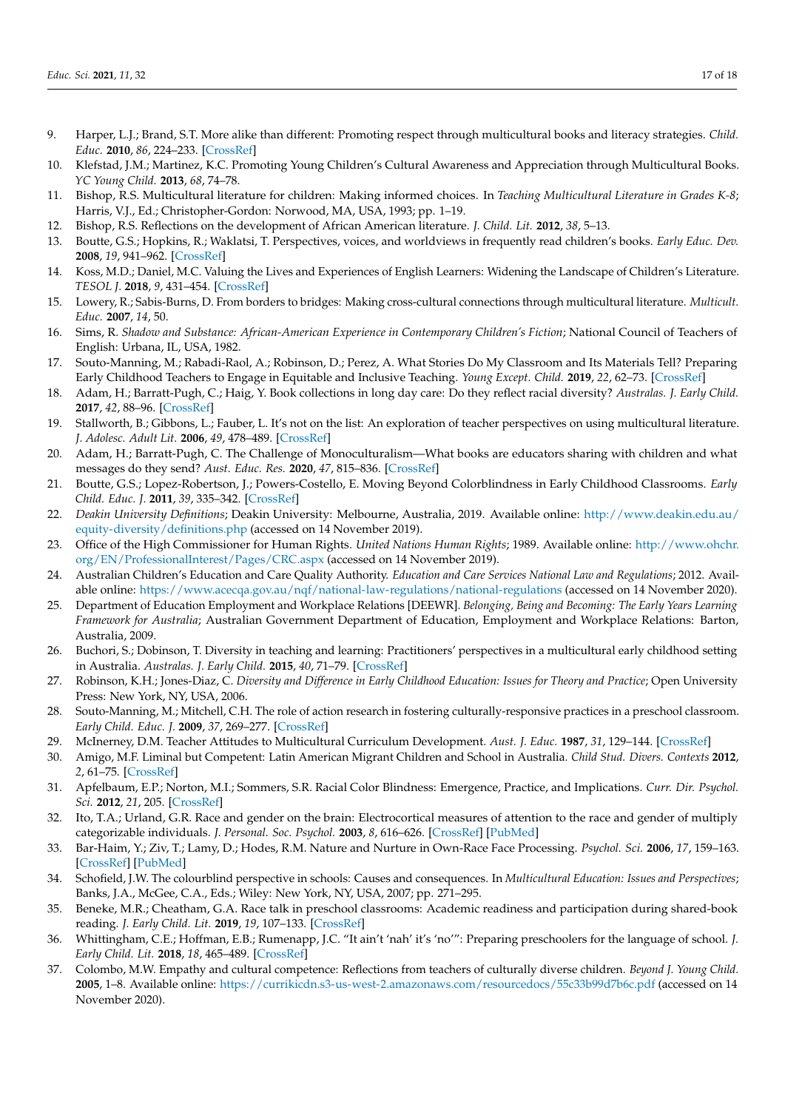- 9. Harper, L.J.; Brand, S.T. More alike than different: Promoting respect through multicultural books and literacy strategies. *Child. Educ.* **2010**, *86*, 224–233. [\[CrossRef\]](http://doi.org/10.1080/00094056.2010.10523153)
- <span id="page-16-0"></span>10. Klefstad, J.M.; Martinez, K.C. Promoting Young Children's Cultural Awareness and Appreciation through Multicultural Books. *YC Young Child.* **2013**, *68*, 74–78.
- <span id="page-16-1"></span>11. Bishop, R.S. Multicultural literature for children: Making informed choices. In *Teaching Multicultural Literature in Grades K-8*; Harris, V.J., Ed.; Christopher-Gordon: Norwood, MA, USA, 1993; pp. 1–19.
- <span id="page-16-22"></span>12. Bishop, R.S. Reflections on the development of African American literature. *J. Child. Lit.* **2012**, *38*, 5–13.
- <span id="page-16-3"></span>13. Boutte, G.S.; Hopkins, R.; Waklatsi, T. Perspectives, voices, and worldviews in frequently read children's books. *Early Educ. Dev.* **2008**, *19*, 941–962. [\[CrossRef\]](http://doi.org/10.1080/10409280802206643)
- 14. Koss, M.D.; Daniel, M.C. Valuing the Lives and Experiences of English Learners: Widening the Landscape of Children's Literature. *TESOL J.* **2018**, *9*, 431–454. [\[CrossRef\]](http://doi.org/10.1002/tesj.336)
- 15. Lowery, R.; Sabis-Burns, D. From borders to bridges: Making cross-cultural connections through multicultural literature. *Multicult. Educ.* **2007**, *14*, 50.
- <span id="page-16-23"></span>16. Sims, R. *Shadow and Substance: African-American Experience in Contemporary Children's Fiction*; National Council of Teachers of English: Urbana, IL, USA, 1982.
- <span id="page-16-2"></span>17. Souto-Manning, M.; Rabadi-Raol, A.; Robinson, D.; Perez, A. What Stories Do My Classroom and Its Materials Tell? Preparing Early Childhood Teachers to Engage in Equitable and Inclusive Teaching. *Young Except. Child.* **2019**, *22*, 62–73. [\[CrossRef\]](http://doi.org/10.1177/1096250618811619)
- <span id="page-16-6"></span>18. Adam, H.; Barratt-Pugh, C.; Haig, Y. Book collections in long day care: Do they reflect racial diversity? *Australas. J. Early Child.* **2017**, *42*, 88–96. [\[CrossRef\]](http://doi.org/10.23965/AJEC.42.2.11)
- <span id="page-16-4"></span>19. Stallworth, B.; Gibbons, L.; Fauber, L. It's not on the list: An exploration of teacher perspectives on using multicultural literature. *J. Adolesc. Adult Lit.* **2006**, *49*, 478–489. [\[CrossRef\]](http://doi.org/10.1598/JAAL.49.6.3)
- <span id="page-16-5"></span>20. Adam, H.; Barratt-Pugh, C. The Challenge of Monoculturalism—What books are educators sharing with children and what messages do they send? *Aust. Educ. Res.* **2020**, *47*, 815–836. [\[CrossRef\]](http://doi.org/10.1007/s13384-019-00375-7)
- <span id="page-16-7"></span>21. Boutte, G.S.; Lopez-Robertson, J.; Powers-Costello, E. Moving Beyond Colorblindness in Early Childhood Classrooms. *Early Child. Educ. J.* **2011**, *39*, 335–342. [\[CrossRef\]](http://doi.org/10.1007/s10643-011-0457-x)
- <span id="page-16-8"></span>22. *Deakin University Definitions*; Deakin University: Melbourne, Australia, 2019. Available online: [http://www.deakin.edu.au/](http://www.deakin.edu.au/equity-diversity/definitions.php) [equity-diversity/definitions.php](http://www.deakin.edu.au/equity-diversity/definitions.php) (accessed on 14 November 2019).
- <span id="page-16-9"></span>23. Office of the High Commissioner for Human Rights. *United Nations Human Rights*; 1989. Available online: [http://www.ohchr.](http://www.ohchr.org/EN/ProfessionalInterest/Pages/CRC.aspx) [org/EN/ProfessionalInterest/Pages/CRC.aspx](http://www.ohchr.org/EN/ProfessionalInterest/Pages/CRC.aspx) (accessed on 14 November 2019).
- <span id="page-16-10"></span>24. Australian Children's Education and Care Quality Authority. *Education and Care Services National Law and Regulations*; 2012. Available online: <https://www.acecqa.gov.au/nqf/national-law-regulations/national-regulations> (accessed on 14 November 2020).
- <span id="page-16-11"></span>25. Department of Education Employment and Workplace Relations [DEEWR]. *Belonging, Being and Becoming: The Early Years Learning Framework for Australia*; Australian Government Department of Education, Employment and Workplace Relations: Barton, Australia, 2009.
- <span id="page-16-12"></span>26. Buchori, S.; Dobinson, T. Diversity in teaching and learning: Practitioners' perspectives in a multicultural early childhood setting in Australia. *Australas. J. Early Child.* **2015**, *40*, 71–79. [\[CrossRef\]](http://doi.org/10.1177/183693911504000110)
- <span id="page-16-13"></span>27. Robinson, K.H.; Jones-Diaz, C. *Diversity and Difference in Early Childhood Education: Issues for Theory and Practice*; Open University Press: New York, NY, USA, 2006.
- <span id="page-16-14"></span>28. Souto-Manning, M.; Mitchell, C.H. The role of action research in fostering culturally-responsive practices in a preschool classroom. *Early Child. Educ. J.* **2009**, *37*, 269–277. [\[CrossRef\]](http://doi.org/10.1007/s10643-009-0345-9)
- 29. McInerney, D.M. Teacher Attitudes to Multicultural Curriculum Development. *Aust. J. Educ.* **1987**, *31*, 129–144. [\[CrossRef\]](http://doi.org/10.1177/000494418703100202)
- 30. Amigo, M.F. Liminal but Competent: Latin American Migrant Children and School in Australia. *Child Stud. Divers. Contexts* **2012**, *2*, 61–75. [\[CrossRef\]](http://doi.org/10.5723/csdc.2012.2.1.061)
- <span id="page-16-15"></span>31. Apfelbaum, E.P.; Norton, M.I.; Sommers, S.R. Racial Color Blindness: Emergence, Practice, and Implications. *Curr. Dir. Psychol. Sci.* **2012**, *21*, 205. [\[CrossRef\]](http://doi.org/10.1177/0963721411434980)
- <span id="page-16-16"></span>32. Ito, T.A.; Urland, G.R. Race and gender on the brain: Electrocortical measures of attention to the race and gender of multiply categorizable individuals. *J. Personal. Soc. Psychol.* **2003**, *8*, 616–626. [\[CrossRef\]](http://doi.org/10.1037/0022-3514.85.4.616) [\[PubMed\]](http://www.ncbi.nlm.nih.gov/pubmed/14561116)
- <span id="page-16-17"></span>33. Bar-Haim, Y.; Ziv, T.; Lamy, D.; Hodes, R.M. Nature and Nurture in Own-Race Face Processing. *Psychol. Sci.* **2006**, *17*, 159–163. [\[CrossRef\]](http://doi.org/10.1111/j.1467-9280.2006.01679.x) [\[PubMed\]](http://www.ncbi.nlm.nih.gov/pubmed/16466424)
- <span id="page-16-18"></span>34. Schofield, J.W. The colourblind perspective in schools: Causes and consequences. In *Multicultural Education: Issues and Perspectives*; Banks, J.A., McGee, C.A., Eds.; Wiley: New York, NY, USA, 2007; pp. 271–295.
- <span id="page-16-19"></span>35. Beneke, M.R.; Cheatham, G.A. Race talk in preschool classrooms: Academic readiness and participation during shared-book reading. *J. Early Child. Lit.* **2019**, *19*, 107–133. [\[CrossRef\]](http://doi.org/10.1177/1468798417712339)
- <span id="page-16-20"></span>36. Whittingham, C.E.; Hoffman, E.B.; Rumenapp, J.C. "It ain't 'nah' it's 'no'": Preparing preschoolers for the language of school. *J. Early Child. Lit.* **2018**, *18*, 465–489. [\[CrossRef\]](http://doi.org/10.1177/1468798416674254)
- <span id="page-16-21"></span>37. Colombo, M.W. Empathy and cultural competence: Reflections from teachers of culturally diverse children. *Beyond J. Young Child.* **2005**, 1–8. Available online: <https://currikicdn.s3-us-west-2.amazonaws.com/resourcedocs/55c33b99d7b6c.pdf> (accessed on 14 November 2020).